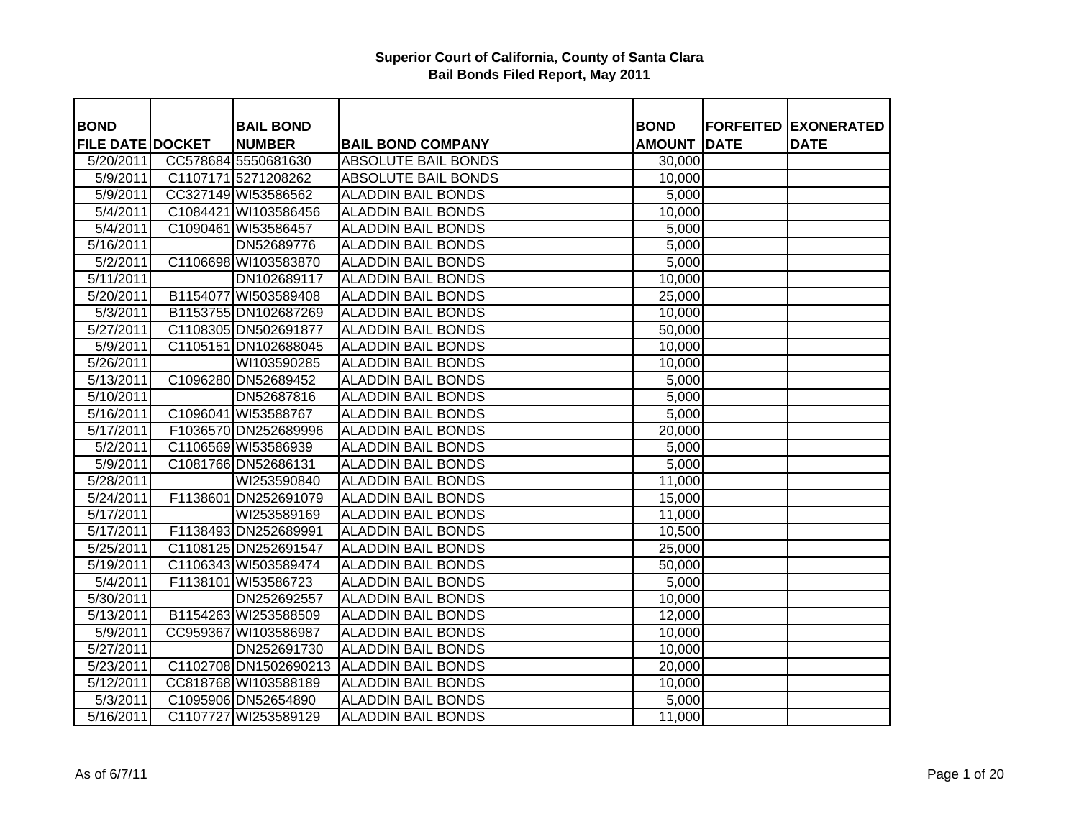| <b>BOND</b>             | <b>BAIL BOND</b>      |                            | <b>BOND</b>   |             | <b>FORFEITED EXONERATED</b> |
|-------------------------|-----------------------|----------------------------|---------------|-------------|-----------------------------|
| <b>FILE DATE DOCKET</b> | <b>NUMBER</b>         | <b>BAIL BOND COMPANY</b>   | <b>AMOUNT</b> | <b>DATE</b> | <b>DATE</b>                 |
| 5/20/2011               | CC578684 5550681630   | <b>ABSOLUTE BAIL BONDS</b> | 30,000        |             |                             |
| 5/9/2011                | C1107171 5271208262   | <b>ABSOLUTE BAIL BONDS</b> | 10,000        |             |                             |
| 5/9/2011                | CC327149 WI53586562   | <b>ALADDIN BAIL BONDS</b>  | 5,000         |             |                             |
| 5/4/2011                | C1084421 WI103586456  | <b>ALADDIN BAIL BONDS</b>  | 10,000        |             |                             |
| 5/4/2011                | C1090461 WI53586457   | <b>ALADDIN BAIL BONDS</b>  | 5,000         |             |                             |
| 5/16/2011               | DN52689776            | <b>ALADDIN BAIL BONDS</b>  | 5,000         |             |                             |
| 5/2/2011                | C1106698 WI103583870  | <b>ALADDIN BAIL BONDS</b>  | 5,000         |             |                             |
| 5/11/2011               | DN102689117           | <b>ALADDIN BAIL BONDS</b>  | 10,000        |             |                             |
| 5/20/2011               | B1154077 WI503589408  | <b>ALADDIN BAIL BONDS</b>  | 25,000        |             |                             |
| 5/3/2011                | B1153755 DN102687269  | <b>ALADDIN BAIL BONDS</b>  | 10,000        |             |                             |
| 5/27/2011               | C1108305 DN502691877  | <b>ALADDIN BAIL BONDS</b>  | 50,000        |             |                             |
| 5/9/2011                | C1105151 DN102688045  | <b>ALADDIN BAIL BONDS</b>  | 10,000        |             |                             |
| 5/26/2011               | WI103590285           | <b>ALADDIN BAIL BONDS</b>  | 10,000        |             |                             |
| $\overline{5/13/2011}$  | C1096280 DN52689452   | <b>ALADDIN BAIL BONDS</b>  | 5,000         |             |                             |
| 5/10/2011               | DN52687816            | <b>ALADDIN BAIL BONDS</b>  | 5,000         |             |                             |
| 5/16/2011               | C1096041 WI53588767   | <b>ALADDIN BAIL BONDS</b>  | 5,000         |             |                             |
| 5/17/2011               | F1036570 DN252689996  | <b>ALADDIN BAIL BONDS</b>  | 20,000        |             |                             |
| $\sqrt{5/2/2011}$       | C1106569 WI53586939   | <b>ALADDIN BAIL BONDS</b>  | 5,000         |             |                             |
| 5/9/2011                | C1081766 DN52686131   | <b>ALADDIN BAIL BONDS</b>  | 5,000         |             |                             |
| 5/28/2011               | WI253590840           | <b>ALADDIN BAIL BONDS</b>  | 11,000        |             |                             |
| 5/24/2011               | F1138601 DN252691079  | <b>ALADDIN BAIL BONDS</b>  | 15,000        |             |                             |
| 5/17/2011               | WI253589169           | <b>ALADDIN BAIL BONDS</b>  | 11,000        |             |                             |
| 5/17/2011               | F1138493 DN252689991  | <b>ALADDIN BAIL BONDS</b>  | 10,500        |             |                             |
| 5/25/2011               | C1108125 DN252691547  | <b>ALADDIN BAIL BONDS</b>  | 25,000        |             |                             |
| 5/19/2011               | C1106343 WI503589474  | <b>ALADDIN BAIL BONDS</b>  | 50,000        |             |                             |
| 5/4/2011                | F1138101 WI53586723   | <b>ALADDIN BAIL BONDS</b>  | 5,000         |             |                             |
| 5/30/2011               | DN252692557           | <b>ALADDIN BAIL BONDS</b>  | 10,000        |             |                             |
| 5/13/2011               | B1154263 WI253588509  | <b>ALADDIN BAIL BONDS</b>  | 12,000        |             |                             |
| 5/9/2011                | CC959367 WI103586987  | <b>ALADDIN BAIL BONDS</b>  | 10,000        |             |                             |
| 5/27/2011               | DN252691730           | <b>ALADDIN BAIL BONDS</b>  | 10,000        |             |                             |
| 5/23/2011               | C1102708 DN1502690213 | <b>ALADDIN BAIL BONDS</b>  | 20,000        |             |                             |
| 5/12/2011               | CC818768 WI103588189  | <b>ALADDIN BAIL BONDS</b>  | 10,000        |             |                             |
| 5/3/2011                | C1095906 DN52654890   | <b>ALADDIN BAIL BONDS</b>  | 5,000         |             |                             |
| 5/16/2011               | C1107727 WI253589129  | <b>ALADDIN BAIL BONDS</b>  | 11,000        |             |                             |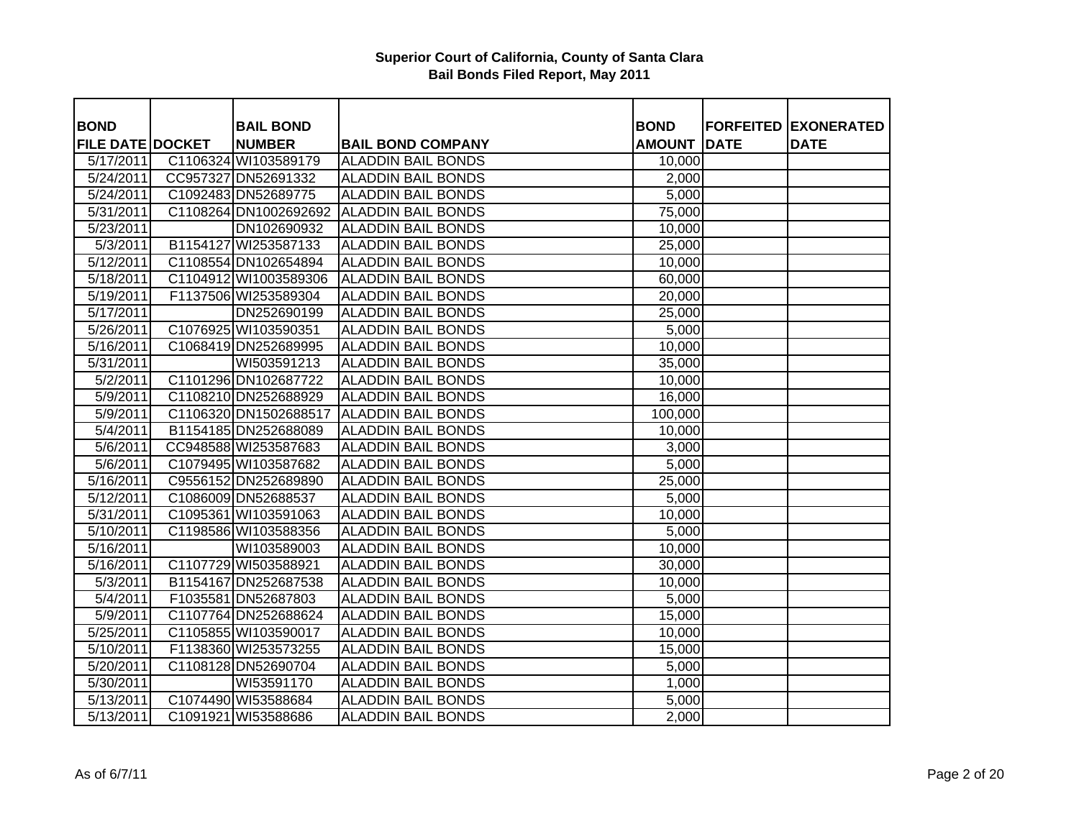| <b>BOND</b>             | <b>BAIL BOND</b>      |                           | <b>BOND</b>   |             | <b>FORFEITED EXONERATED</b> |
|-------------------------|-----------------------|---------------------------|---------------|-------------|-----------------------------|
| <b>FILE DATE DOCKET</b> | <b>NUMBER</b>         | <b>BAIL BOND COMPANY</b>  | <b>AMOUNT</b> | <b>DATE</b> | <b>DATE</b>                 |
| 5/17/2011               | C1106324 WI103589179  | <b>ALADDIN BAIL BONDS</b> | 10,000        |             |                             |
| 5/24/2011               | CC957327 DN52691332   | <b>ALADDIN BAIL BONDS</b> | 2,000         |             |                             |
| 5/24/2011               | C1092483 DN52689775   | <b>ALADDIN BAIL BONDS</b> | 5,000         |             |                             |
| $\overline{5/31/2011}$  | C1108264 DN1002692692 | <b>ALADDIN BAIL BONDS</b> | 75,000        |             |                             |
| 5/23/2011               | DN102690932           | <b>ALADDIN BAIL BONDS</b> | 10,000        |             |                             |
| 5/3/2011                | B1154127 WI253587133  | <b>ALADDIN BAIL BONDS</b> | 25,000        |             |                             |
| 5/12/2011               | C1108554 DN102654894  | <b>ALADDIN BAIL BONDS</b> | 10,000        |             |                             |
| 5/18/2011               | C1104912 WI1003589306 | <b>ALADDIN BAIL BONDS</b> | 60,000        |             |                             |
| 5/19/2011               | F1137506 WI253589304  | <b>ALADDIN BAIL BONDS</b> | 20,000        |             |                             |
| 5/17/2011               | DN252690199           | <b>ALADDIN BAIL BONDS</b> | 25,000        |             |                             |
| 5/26/2011               | C1076925 WI103590351  | <b>ALADDIN BAIL BONDS</b> | 5,000         |             |                             |
| 5/16/2011               | C1068419 DN252689995  | <b>ALADDIN BAIL BONDS</b> | 10,000        |             |                             |
| 5/31/2011               | WI503591213           | <b>ALADDIN BAIL BONDS</b> | 35,000        |             |                             |
| 5/2/2011                | C1101296 DN102687722  | <b>ALADDIN BAIL BONDS</b> | 10,000        |             |                             |
| 5/9/2011                | C1108210 DN252688929  | <b>ALADDIN BAIL BONDS</b> | 16,000        |             |                             |
| 5/9/2011                | C1106320 DN1502688517 | <b>ALADDIN BAIL BONDS</b> | 100,000       |             |                             |
| 5/4/2011                | B1154185 DN252688089  | <b>ALADDIN BAIL BONDS</b> | 10,000        |             |                             |
| 5/6/2011                | CC948588 WI253587683  | <b>ALADDIN BAIL BONDS</b> | 3,000         |             |                             |
| 5/6/2011                | C1079495 WI103587682  | <b>ALADDIN BAIL BONDS</b> | 5,000         |             |                             |
| 5/16/2011               | C9556152 DN252689890  | <b>ALADDIN BAIL BONDS</b> | 25,000        |             |                             |
| 5/12/2011               | C1086009 DN52688537   | <b>ALADDIN BAIL BONDS</b> | 5,000         |             |                             |
| 5/31/2011               | C1095361 WI103591063  | <b>ALADDIN BAIL BONDS</b> | 10,000        |             |                             |
| 5/10/2011               | C1198586 WI103588356  | <b>ALADDIN BAIL BONDS</b> | 5,000         |             |                             |
| 5/16/2011               | WI103589003           | <b>ALADDIN BAIL BONDS</b> | 10,000        |             |                             |
| $\overline{5/16/2011}$  | C1107729 WI503588921  | <b>ALADDIN BAIL BONDS</b> | 30,000        |             |                             |
| 5/3/2011                | B1154167 DN252687538  | <b>ALADDIN BAIL BONDS</b> | 10,000        |             |                             |
| 5/4/2011                | F1035581 DN52687803   | <b>ALADDIN BAIL BONDS</b> | 5,000         |             |                             |
| 5/9/2011                | C1107764 DN252688624  | <b>ALADDIN BAIL BONDS</b> | 15,000        |             |                             |
| 5/25/2011               | C1105855 WI103590017  | <b>ALADDIN BAIL BONDS</b> | 10,000        |             |                             |
| 5/10/2011               | F1138360 WI253573255  | <b>ALADDIN BAIL BONDS</b> | 15,000        |             |                             |
| 5/20/2011               | C1108128 DN52690704   | <b>ALADDIN BAIL BONDS</b> | 5,000         |             |                             |
| 5/30/2011               | WI53591170            | <b>ALADDIN BAIL BONDS</b> | 1,000         |             |                             |
| 5/13/2011               | C1074490 WI53588684   | <b>ALADDIN BAIL BONDS</b> | 5,000         |             |                             |
| 5/13/2011               | C1091921 WI53588686   | <b>ALADDIN BAIL BONDS</b> | 2,000         |             |                             |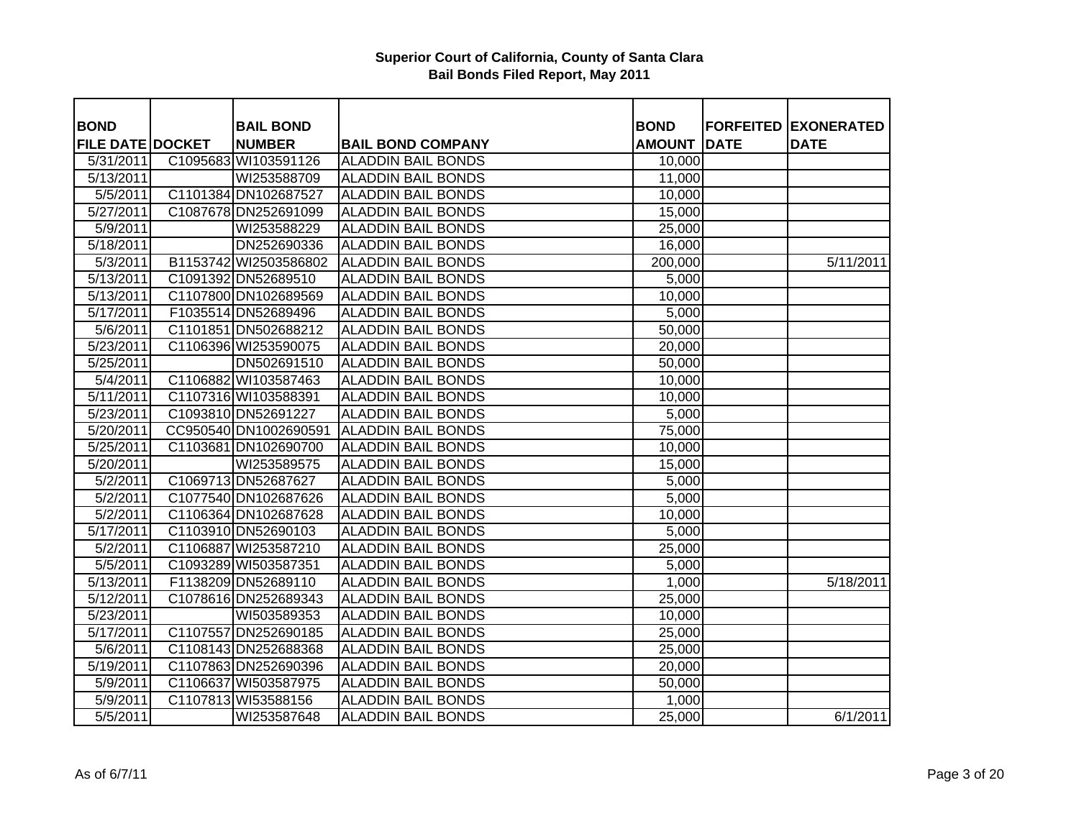| <b>BOND</b>             | <b>BAIL BOND</b>      |                           | <b>BOND</b>   |             | <b>FORFEITED EXONERATED</b> |
|-------------------------|-----------------------|---------------------------|---------------|-------------|-----------------------------|
| <b>FILE DATE DOCKET</b> | <b>NUMBER</b>         | <b>BAIL BOND COMPANY</b>  | <b>AMOUNT</b> | <b>DATE</b> | <b>DATE</b>                 |
| 5/31/2011               | C1095683 WI103591126  | <b>ALADDIN BAIL BONDS</b> | 10,000        |             |                             |
| 5/13/2011               | WI253588709           | <b>ALADDIN BAIL BONDS</b> | 11,000        |             |                             |
| 5/5/2011                | C1101384 DN102687527  | <b>ALADDIN BAIL BONDS</b> | 10,000        |             |                             |
| 5/27/2011               | C1087678 DN252691099  | <b>ALADDIN BAIL BONDS</b> | 15,000        |             |                             |
| 5/9/2011                | WI253588229           | <b>ALADDIN BAIL BONDS</b> | 25,000        |             |                             |
| 5/18/2011               | DN252690336           | <b>ALADDIN BAIL BONDS</b> | 16,000        |             |                             |
| 5/3/2011                | B1153742 WI2503586802 | <b>ALADDIN BAIL BONDS</b> | 200,000       |             | 5/11/2011                   |
| 5/13/2011               | C1091392 DN52689510   | <b>ALADDIN BAIL BONDS</b> | 5,000         |             |                             |
| 5/13/2011               | C1107800 DN102689569  | <b>ALADDIN BAIL BONDS</b> | 10,000        |             |                             |
| 5/17/2011               | F1035514 DN52689496   | <b>ALADDIN BAIL BONDS</b> | 5,000         |             |                             |
| 5/6/2011                | C1101851 DN502688212  | <b>ALADDIN BAIL BONDS</b> | 50,000        |             |                             |
| 5/23/2011               | C1106396 WI253590075  | <b>ALADDIN BAIL BONDS</b> | 20,000        |             |                             |
| 5/25/2011               | DN502691510           | <b>ALADDIN BAIL BONDS</b> | 50,000        |             |                             |
| 5/4/2011                | C1106882 WI103587463  | <b>ALADDIN BAIL BONDS</b> | 10,000        |             |                             |
| 5/11/2011               | C1107316 WI103588391  | <b>ALADDIN BAIL BONDS</b> | 10,000        |             |                             |
| 5/23/2011               | C1093810 DN52691227   | <b>ALADDIN BAIL BONDS</b> | 5,000         |             |                             |
| 5/20/2011               | CC950540 DN1002690591 | <b>ALADDIN BAIL BONDS</b> | 75,000        |             |                             |
| 5/25/2011               | C1103681 DN102690700  | <b>ALADDIN BAIL BONDS</b> | 10,000        |             |                             |
| 5/20/2011               | WI253589575           | <b>ALADDIN BAIL BONDS</b> | 15,000        |             |                             |
| 5/2/2011                | C1069713 DN52687627   | <b>ALADDIN BAIL BONDS</b> | 5,000         |             |                             |
| 5/2/2011                | C1077540 DN102687626  | <b>ALADDIN BAIL BONDS</b> | 5,000         |             |                             |
| 5/2/2011                | C1106364 DN102687628  | <b>ALADDIN BAIL BONDS</b> | 10,000        |             |                             |
| 5/17/2011               | C1103910 DN52690103   | <b>ALADDIN BAIL BONDS</b> | 5,000         |             |                             |
| 5/2/2011                | C1106887 WI253587210  | <b>ALADDIN BAIL BONDS</b> | 25,000        |             |                             |
| 5/5/2011                | C1093289 WI503587351  | <b>ALADDIN BAIL BONDS</b> | 5,000         |             |                             |
| 5/13/2011               | F1138209 DN52689110   | <b>ALADDIN BAIL BONDS</b> | 1,000         |             | 5/18/2011                   |
| 5/12/2011               | C1078616 DN252689343  | <b>ALADDIN BAIL BONDS</b> | 25,000        |             |                             |
| 5/23/2011               | WI503589353           | <b>ALADDIN BAIL BONDS</b> | 10,000        |             |                             |
| 5/17/2011               | C1107557 DN252690185  | <b>ALADDIN BAIL BONDS</b> | 25,000        |             |                             |
| 5/6/2011                | C1108143 DN252688368  | <b>ALADDIN BAIL BONDS</b> | 25,000        |             |                             |
| 5/19/2011               | C1107863 DN252690396  | <b>ALADDIN BAIL BONDS</b> | 20,000        |             |                             |
| 5/9/2011                | C1106637 WI503587975  | <b>ALADDIN BAIL BONDS</b> | 50,000        |             |                             |
| 5/9/2011                | C1107813 WI53588156   | <b>ALADDIN BAIL BONDS</b> | 1,000         |             |                             |
| 5/5/2011                | WI253587648           | <b>ALADDIN BAIL BONDS</b> | 25,000        |             | 6/1/2011                    |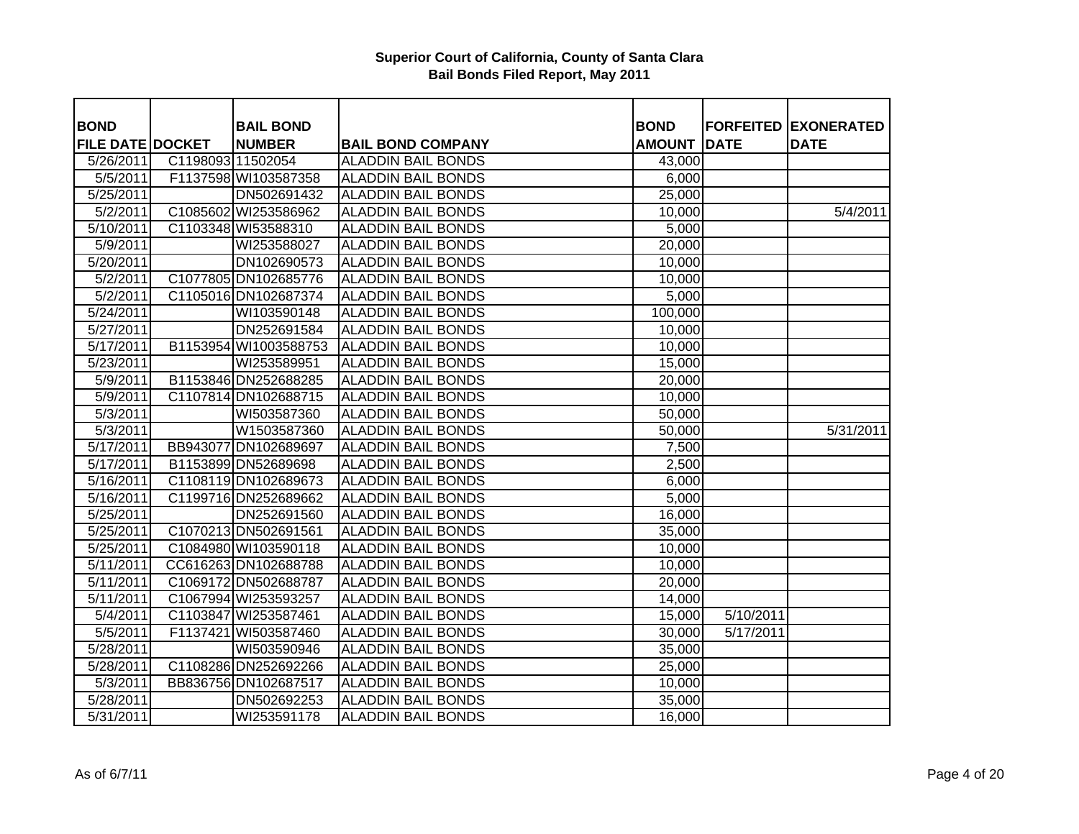| <b>BOND</b>             |                   | <b>BAIL BOND</b>      |                           | <b>BOND</b>   |                       | <b>FORFEITED EXONERATED</b> |
|-------------------------|-------------------|-----------------------|---------------------------|---------------|-----------------------|-----------------------------|
| <b>FILE DATE DOCKET</b> |                   | <b>NUMBER</b>         | <b>BAIL BOND COMPANY</b>  | <b>AMOUNT</b> | <b>DATE</b>           | <b>DATE</b>                 |
| 5/26/2011               | C1198093 11502054 |                       | <b>ALADDIN BAIL BONDS</b> | 43,000        |                       |                             |
| 5/5/2011                |                   | F1137598 WI103587358  | <b>ALADDIN BAIL BONDS</b> | 6,000         |                       |                             |
| 5/25/2011               |                   | DN502691432           | <b>ALADDIN BAIL BONDS</b> | 25,000        |                       |                             |
| 5/2/2011                |                   | C1085602 WI253586962  | <b>ALADDIN BAIL BONDS</b> | 10,000        |                       | 5/4/2011                    |
| 5/10/2011               |                   | C1103348 WI53588310   | <b>ALADDIN BAIL BONDS</b> | 5,000         |                       |                             |
| 5/9/2011                |                   | WI253588027           | <b>ALADDIN BAIL BONDS</b> | 20,000        |                       |                             |
| $\overline{5}/20/2011$  |                   | DN102690573           | <b>ALADDIN BAIL BONDS</b> | 10,000        |                       |                             |
| 5/2/2011                |                   | C1077805 DN102685776  | <b>ALADDIN BAIL BONDS</b> | 10,000        |                       |                             |
| 5/2/2011                |                   | C1105016 DN102687374  | <b>ALADDIN BAIL BONDS</b> | 5,000         |                       |                             |
| 5/24/2011               |                   | WI103590148           | <b>ALADDIN BAIL BONDS</b> | 100,000       |                       |                             |
| 5/27/2011               |                   | DN252691584           | <b>ALADDIN BAIL BONDS</b> | 10,000        |                       |                             |
| 5/17/2011               |                   | B1153954 WI1003588753 | <b>ALADDIN BAIL BONDS</b> | 10,000        |                       |                             |
| 5/23/2011               |                   | WI253589951           | <b>ALADDIN BAIL BONDS</b> | 15,000        |                       |                             |
| 5/9/2011                |                   | B1153846 DN252688285  | <b>ALADDIN BAIL BONDS</b> | 20,000        |                       |                             |
| 5/9/2011                |                   | C1107814 DN102688715  | <b>ALADDIN BAIL BONDS</b> | 10,000        |                       |                             |
| 5/3/2011                |                   | WI503587360           | <b>ALADDIN BAIL BONDS</b> | 50,000        |                       |                             |
| $\overline{5}/3/2011$   |                   | W1503587360           | <b>ALADDIN BAIL BONDS</b> | 50,000        |                       | 5/31/2011                   |
| 5/17/2011               |                   | BB943077 DN102689697  | <b>ALADDIN BAIL BONDS</b> | 7,500         |                       |                             |
| 5/17/2011               |                   | B1153899 DN52689698   | <b>ALADDIN BAIL BONDS</b> | 2,500         |                       |                             |
| 5/16/2011               |                   | C1108119 DN102689673  | <b>ALADDIN BAIL BONDS</b> | 6,000         |                       |                             |
| $\overline{5/16/2011}$  |                   | C1199716 DN252689662  | <b>ALADDIN BAIL BONDS</b> | 5,000         |                       |                             |
| 5/25/2011               |                   | DN252691560           | <b>ALADDIN BAIL BONDS</b> | 16,000        |                       |                             |
| $\overline{5/25/2011}$  |                   | C1070213 DN502691561  | <b>ALADDIN BAIL BONDS</b> | 35,000        |                       |                             |
| 5/25/2011               |                   | C1084980 WI103590118  | <b>ALADDIN BAIL BONDS</b> | 10,000        |                       |                             |
| 5/11/2011               |                   | CC616263 DN102688788  | <b>ALADDIN BAIL BONDS</b> | 10,000        |                       |                             |
| 5/11/2011               |                   | C1069172 DN502688787  | <b>ALADDIN BAIL BONDS</b> | 20,000        |                       |                             |
| 5/11/2011               |                   | C1067994 WI253593257  | <b>ALADDIN BAIL BONDS</b> | 14,000        |                       |                             |
| 5/4/2011                |                   | C1103847 WI253587461  | <b>ALADDIN BAIL BONDS</b> | 15,000        | $\frac{1}{5/10/2011}$ |                             |
| 5/5/2011                |                   | F1137421 WI503587460  | <b>ALADDIN BAIL BONDS</b> | 30,000        | 5/17/2011             |                             |
| 5/28/2011               |                   | WI503590946           | <b>ALADDIN BAIL BONDS</b> | 35,000        |                       |                             |
| 5/28/2011               |                   | C1108286 DN252692266  | <b>ALADDIN BAIL BONDS</b> | 25,000        |                       |                             |
| 5/3/2011                |                   | BB836756 DN102687517  | <b>ALADDIN BAIL BONDS</b> | 10,000        |                       |                             |
| 5/28/2011               |                   | DN502692253           | <b>ALADDIN BAIL BONDS</b> | 35,000        |                       |                             |
| 5/31/2011               |                   | WI253591178           | <b>ALADDIN BAIL BONDS</b> | 16,000        |                       |                             |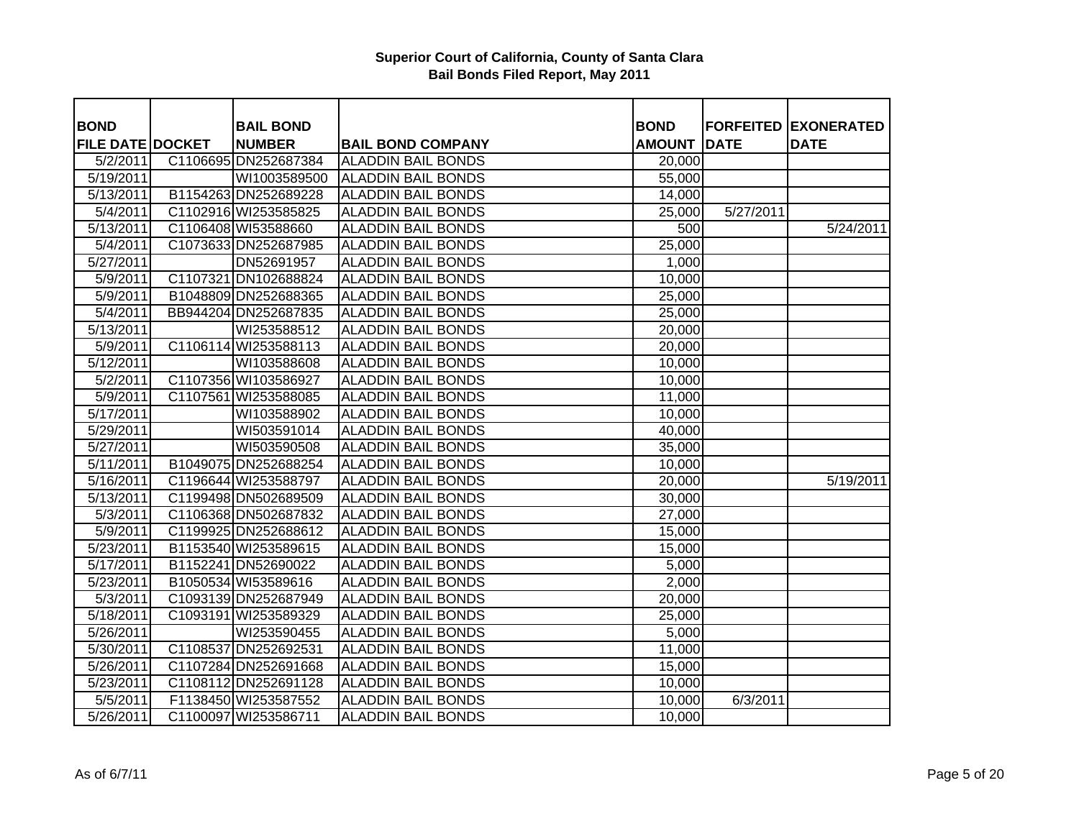| <b>BOND</b>             | <b>BAIL BOND</b>     |                           | <b>BOND</b>   |             | <b>FORFEITED EXONERATED</b> |
|-------------------------|----------------------|---------------------------|---------------|-------------|-----------------------------|
| <b>FILE DATE DOCKET</b> | <b>NUMBER</b>        | <b>BAIL BOND COMPANY</b>  | <b>AMOUNT</b> | <b>DATE</b> | <b>DATE</b>                 |
| 5/2/2011                | C1106695 DN252687384 | <b>ALADDIN BAIL BONDS</b> | 20,000        |             |                             |
| 5/19/2011               | WI1003589500         | <b>ALADDIN BAIL BONDS</b> | 55,000        |             |                             |
| 5/13/2011               | B1154263 DN252689228 | <b>ALADDIN BAIL BONDS</b> | 14,000        |             |                             |
| 5/4/2011                | C1102916 WI253585825 | <b>ALADDIN BAIL BONDS</b> | 25,000        | 5/27/2011   |                             |
| 5/13/2011               | C1106408 WI53588660  | <b>ALADDIN BAIL BONDS</b> | 500           |             | 5/24/2011                   |
| 5/4/2011                | C1073633 DN252687985 | <b>ALADDIN BAIL BONDS</b> | 25,000        |             |                             |
| 5/27/2011               | DN52691957           | <b>ALADDIN BAIL BONDS</b> | 1,000         |             |                             |
| 5/9/2011                | C1107321 DN102688824 | <b>ALADDIN BAIL BONDS</b> | 10,000        |             |                             |
| 5/9/2011                | B1048809 DN252688365 | <b>ALADDIN BAIL BONDS</b> | 25,000        |             |                             |
| $\sqrt{5/4/2011}$       | BB944204 DN252687835 | <b>ALADDIN BAIL BONDS</b> | 25,000        |             |                             |
| 5/13/2011               | WI253588512          | <b>ALADDIN BAIL BONDS</b> | 20,000        |             |                             |
| 5/9/2011                | C1106114 WI253588113 | <b>ALADDIN BAIL BONDS</b> | 20,000        |             |                             |
| 5/12/2011               | WI103588608          | <b>ALADDIN BAIL BONDS</b> | 10,000        |             |                             |
| 5/2/2011                | C1107356 WI103586927 | <b>ALADDIN BAIL BONDS</b> | 10,000        |             |                             |
| 5/9/2011                | C1107561 WI253588085 | <b>ALADDIN BAIL BONDS</b> | 11,000        |             |                             |
| 5/17/2011               | WI103588902          | <b>ALADDIN BAIL BONDS</b> | 10,000        |             |                             |
| 5/29/2011               | WI503591014          | <b>ALADDIN BAIL BONDS</b> | 40,000        |             |                             |
| 5/27/2011               | WI503590508          | <b>ALADDIN BAIL BONDS</b> | 35,000        |             |                             |
| 5/11/2011               | B1049075 DN252688254 | <b>ALADDIN BAIL BONDS</b> | 10,000        |             |                             |
| 5/16/2011               | C1196644 WI253588797 | <b>ALADDIN BAIL BONDS</b> | 20,000        |             | 5/19/2011                   |
| 5/13/2011               | C1199498 DN502689509 | <b>ALADDIN BAIL BONDS</b> | 30,000        |             |                             |
| 5/3/2011                | C1106368 DN502687832 | <b>ALADDIN BAIL BONDS</b> | 27,000        |             |                             |
| 5/9/2011                | C1199925 DN252688612 | <b>ALADDIN BAIL BONDS</b> | 15,000        |             |                             |
| 5/23/2011               | B1153540 WI253589615 | <b>ALADDIN BAIL BONDS</b> | 15,000        |             |                             |
| 5/17/2011               | B1152241 DN52690022  | <b>ALADDIN BAIL BONDS</b> | 5,000         |             |                             |
| 5/23/2011               | B1050534 WI53589616  | <b>ALADDIN BAIL BONDS</b> | 2,000         |             |                             |
| 5/3/2011                | C1093139 DN252687949 | <b>ALADDIN BAIL BONDS</b> | 20,000        |             |                             |
| 5/18/2011               | C1093191 WI253589329 | <b>ALADDIN BAIL BONDS</b> | 25,000        |             |                             |
| 5/26/2011               | WI253590455          | <b>ALADDIN BAIL BONDS</b> | 5,000         |             |                             |
| 5/30/2011               | C1108537 DN252692531 | <b>ALADDIN BAIL BONDS</b> | 11,000        |             |                             |
| 5/26/2011               | C1107284 DN252691668 | <b>ALADDIN BAIL BONDS</b> | 15,000        |             |                             |
| 5/23/2011               | C1108112 DN252691128 | <b>ALADDIN BAIL BONDS</b> | 10,000        |             |                             |
| 5/5/2011                | F1138450 WI253587552 | <b>ALADDIN BAIL BONDS</b> | 10,000        | 6/3/2011    |                             |
| 5/26/2011               | C1100097 WI253586711 | <b>ALADDIN BAIL BONDS</b> | 10,000        |             |                             |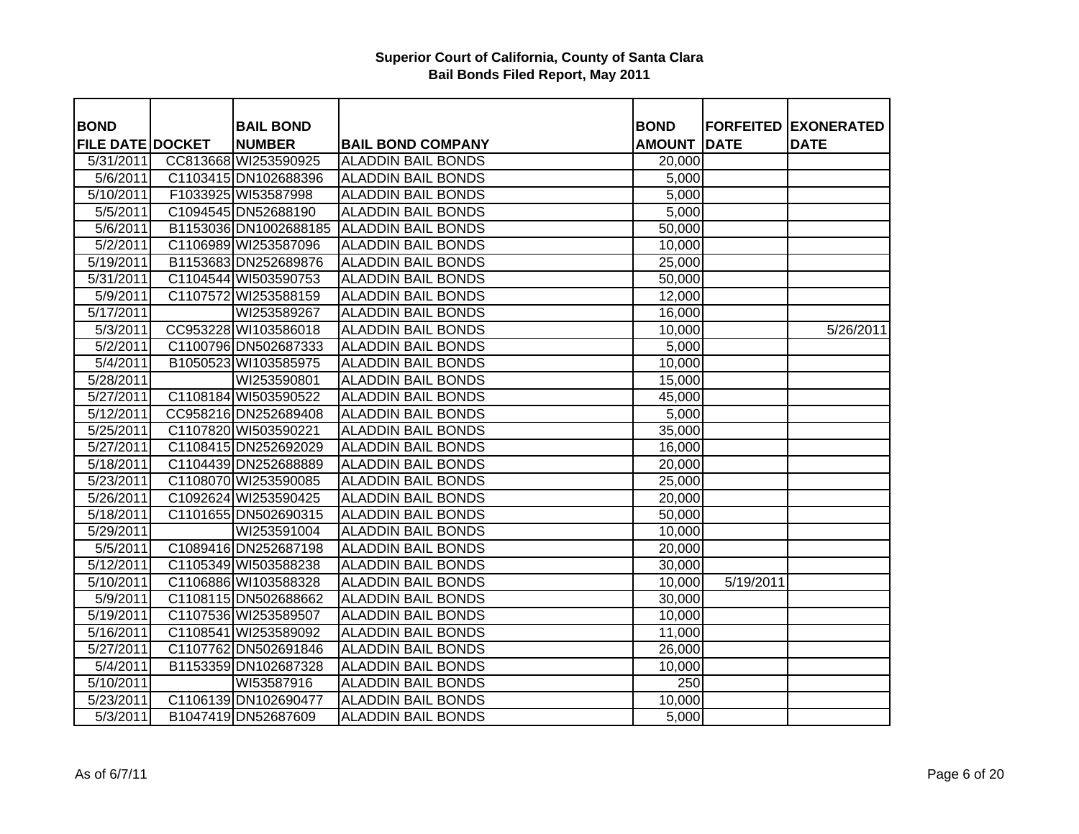| <b>BOND</b>             | <b>BAIL BOND</b>      |                           | <b>BOND</b>   |             | <b>FORFEITED EXONERATED</b> |
|-------------------------|-----------------------|---------------------------|---------------|-------------|-----------------------------|
| <b>FILE DATE DOCKET</b> | <b>NUMBER</b>         | <b>BAIL BOND COMPANY</b>  | <b>AMOUNT</b> | <b>DATE</b> | <b>DATE</b>                 |
| 5/31/2011               | CC813668 WI253590925  | <b>ALADDIN BAIL BONDS</b> | 20,000        |             |                             |
| 5/6/2011                | C1103415 DN102688396  | <b>ALADDIN BAIL BONDS</b> | 5,000         |             |                             |
| 5/10/2011               | F1033925 WI53587998   | <b>ALADDIN BAIL BONDS</b> | 5,000         |             |                             |
| 5/5/2011                | C1094545 DN52688190   | <b>ALADDIN BAIL BONDS</b> | 5,000         |             |                             |
| 5/6/2011                | B1153036 DN1002688185 | <b>ALADDIN BAIL BONDS</b> | 50,000        |             |                             |
| 5/2/2011                | C1106989 WI253587096  | <b>ALADDIN BAIL BONDS</b> | 10,000        |             |                             |
| 5/19/2011               | B1153683 DN252689876  | <b>ALADDIN BAIL BONDS</b> | 25,000        |             |                             |
| 5/31/2011               | C1104544 WI503590753  | <b>ALADDIN BAIL BONDS</b> | 50,000        |             |                             |
| 5/9/2011                | C1107572 WI253588159  | <b>ALADDIN BAIL BONDS</b> | 12,000        |             |                             |
| 5/17/2011               | WI253589267           | <b>ALADDIN BAIL BONDS</b> | 16,000        |             |                             |
| $\sqrt{5/3}/2011$       | CC953228 WI103586018  | <b>ALADDIN BAIL BONDS</b> | 10,000        |             | 5/26/2011                   |
| 5/2/2011                | C1100796 DN502687333  | <b>ALADDIN BAIL BONDS</b> | 5,000         |             |                             |
| 5/4/2011                | B1050523 WI103585975  | <b>ALADDIN BAIL BONDS</b> | 10,000        |             |                             |
| $\overline{5}/28/2011$  | WI253590801           | <b>ALADDIN BAIL BONDS</b> | 15,000        |             |                             |
| 5/27/2011               | C1108184 WI503590522  | <b>ALADDIN BAIL BONDS</b> | 45,000        |             |                             |
| 5/12/2011               | CC958216 DN252689408  | <b>ALADDIN BAIL BONDS</b> | 5,000         |             |                             |
| $\overline{5/25/2011}$  | C1107820 WI503590221  | <b>ALADDIN BAIL BONDS</b> | 35,000        |             |                             |
| 5/27/2011               | C1108415 DN252692029  | <b>ALADDIN BAIL BONDS</b> | 16,000        |             |                             |
| 5/18/2011               | C1104439 DN252688889  | <b>ALADDIN BAIL BONDS</b> | 20,000        |             |                             |
| 5/23/2011               | C1108070 WI253590085  | <b>ALADDIN BAIL BONDS</b> | 25,000        |             |                             |
| 5/26/2011               | C1092624 WI253590425  | <b>ALADDIN BAIL BONDS</b> | 20,000        |             |                             |
| 5/18/2011               | C1101655 DN502690315  | <b>ALADDIN BAIL BONDS</b> | 50,000        |             |                             |
| 5/29/2011               | WI253591004           | <b>ALADDIN BAIL BONDS</b> | 10,000        |             |                             |
| 5/5/2011                | C1089416 DN252687198  | <b>ALADDIN BAIL BONDS</b> | 20,000        |             |                             |
| 5/12/2011               | C1105349 WI503588238  | <b>ALADDIN BAIL BONDS</b> | 30,000        |             |                             |
| 5/10/2011               | C1106886 WI103588328  | <b>ALADDIN BAIL BONDS</b> | 10,000        | 5/19/2011   |                             |
| 5/9/2011                | C1108115 DN502688662  | <b>ALADDIN BAIL BONDS</b> | 30,000        |             |                             |
| 5/19/2011               | C1107536 WI253589507  | <b>ALADDIN BAIL BONDS</b> | 10,000        |             |                             |
| 5/16/2011               | C1108541 WI253589092  | <b>ALADDIN BAIL BONDS</b> | 11,000        |             |                             |
| $\overline{5/27/2011}$  | C1107762 DN502691846  | <b>ALADDIN BAIL BONDS</b> | 26,000        |             |                             |
| 5/4/2011                | B1153359 DN102687328  | <b>ALADDIN BAIL BONDS</b> | 10,000        |             |                             |
| 5/10/2011               | WI53587916            | <b>ALADDIN BAIL BONDS</b> | 250           |             |                             |
| 5/23/2011               | C1106139 DN102690477  | <b>ALADDIN BAIL BONDS</b> | 10,000        |             |                             |
| 5/3/2011                | B1047419 DN52687609   | <b>ALADDIN BAIL BONDS</b> | 5,000         |             |                             |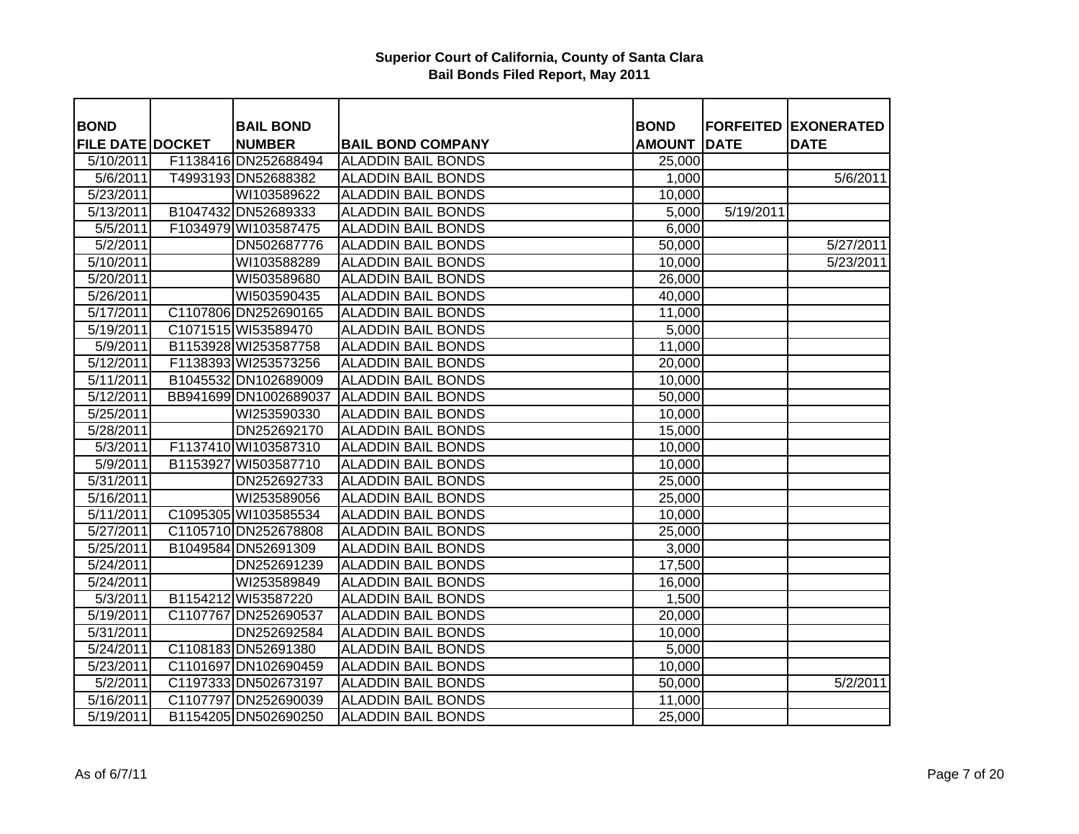| <b>BOND</b>                          | <b>BAIL BOND</b>                      |                                                       | <b>BOND</b><br><b>AMOUNT</b> | <b>DATE</b> | <b>FORFEITED EXONERATED</b> |
|--------------------------------------|---------------------------------------|-------------------------------------------------------|------------------------------|-------------|-----------------------------|
| <b>FILE DATE DOCKET</b><br>5/10/2011 | <b>NUMBER</b><br>F1138416 DN252688494 | <b>BAIL BOND COMPANY</b><br><b>ALADDIN BAIL BONDS</b> | 25,000                       |             | <b>DATE</b>                 |
| 5/6/2011                             | T4993193 DN52688382                   | <b>ALADDIN BAIL BONDS</b>                             | 1,000                        |             | 5/6/2011                    |
| 5/23/2011                            | WI103589622                           | <b>ALADDIN BAIL BONDS</b>                             | 10,000                       |             |                             |
| 5/13/2011                            | B1047432 DN52689333                   | <b>ALADDIN BAIL BONDS</b>                             | 5,000                        | 5/19/2011   |                             |
|                                      | F1034979 WI103587475                  | <b>ALADDIN BAIL BONDS</b>                             | 6,000                        |             |                             |
| 5/5/2011                             |                                       |                                                       |                              |             |                             |
| 5/2/2011                             | DN502687776                           | <b>ALADDIN BAIL BONDS</b>                             | 50,000                       |             | 5/27/2011                   |
| 5/10/2011                            | WI103588289                           | <b>ALADDIN BAIL BONDS</b>                             | 10,000                       |             | 5/23/2011                   |
| 5/20/2011                            | WI503589680                           | <b>ALADDIN BAIL BONDS</b>                             | 26,000                       |             |                             |
| 5/26/2011                            | WI503590435                           | <b>ALADDIN BAIL BONDS</b>                             | 40,000                       |             |                             |
| 5/17/2011                            | C1107806 DN252690165                  | <b>ALADDIN BAIL BONDS</b>                             | 11,000                       |             |                             |
| 5/19/2011                            | C1071515 WI53589470                   | <b>ALADDIN BAIL BONDS</b>                             | 5,000                        |             |                             |
| 5/9/2011                             | B1153928 WI253587758                  | <b>ALADDIN BAIL BONDS</b>                             | 11,000                       |             |                             |
| 5/12/2011                            | F1138393 WI253573256                  | <b>ALADDIN BAIL BONDS</b>                             | 20,000                       |             |                             |
| 5/11/2011                            | B1045532 DN102689009                  | <b>ALADDIN BAIL BONDS</b>                             | 10,000                       |             |                             |
| 5/12/2011                            | BB941699 DN1002689037                 | <b>ALADDIN BAIL BONDS</b>                             | 50,000                       |             |                             |
| 5/25/2011                            | WI253590330                           | <b>ALADDIN BAIL BONDS</b>                             | 10,000                       |             |                             |
| 5/28/2011                            | DN252692170                           | <b>ALADDIN BAIL BONDS</b>                             | 15,000                       |             |                             |
| 5/3/2011                             | F1137410 WI103587310                  | <b>ALADDIN BAIL BONDS</b>                             | 10,000                       |             |                             |
| 5/9/2011                             | B1153927 WI503587710                  | <b>ALADDIN BAIL BONDS</b>                             | 10,000                       |             |                             |
| 5/31/2011                            | DN252692733                           | <b>ALADDIN BAIL BONDS</b>                             | 25,000                       |             |                             |
| 5/16/2011                            | WI253589056                           | <b>ALADDIN BAIL BONDS</b>                             | 25,000                       |             |                             |
| 5/11/2011                            | C1095305 WI103585534                  | <b>ALADDIN BAIL BONDS</b>                             | 10,000                       |             |                             |
| 5/27/2011                            | C1105710 DN252678808                  | <b>ALADDIN BAIL BONDS</b>                             | 25,000                       |             |                             |
| 5/25/2011                            | B1049584 DN52691309                   | <b>ALADDIN BAIL BONDS</b>                             | 3,000                        |             |                             |
| 5/24/2011                            | DN252691239                           | <b>ALADDIN BAIL BONDS</b>                             | 17,500                       |             |                             |
| 5/24/2011                            | WI253589849                           | <b>ALADDIN BAIL BONDS</b>                             | 16,000                       |             |                             |
| 5/3/2011                             | B1154212 WI53587220                   | <b>ALADDIN BAIL BONDS</b>                             | 1,500                        |             |                             |
| 5/19/2011                            | C1107767 DN252690537                  | <b>ALADDIN BAIL BONDS</b>                             | 20,000                       |             |                             |
| 5/31/2011                            | DN252692584                           | <b>ALADDIN BAIL BONDS</b>                             | 10,000                       |             |                             |
| 5/24/2011                            | C1108183 DN52691380                   | <b>ALADDIN BAIL BONDS</b>                             | 5,000                        |             |                             |
| 5/23/2011                            | C1101697 DN102690459                  | <b>ALADDIN BAIL BONDS</b>                             | 10,000                       |             |                             |
| 5/2/2011                             | C1197333 DN502673197                  | <b>ALADDIN BAIL BONDS</b>                             | 50,000                       |             | 5/2/2011                    |
| 5/16/2011                            | C1107797 DN252690039                  | <b>ALADDIN BAIL BONDS</b>                             | 11,000                       |             |                             |
| 5/19/2011                            | B1154205 DN502690250                  | <b>ALADDIN BAIL BONDS</b>                             | 25,000                       |             |                             |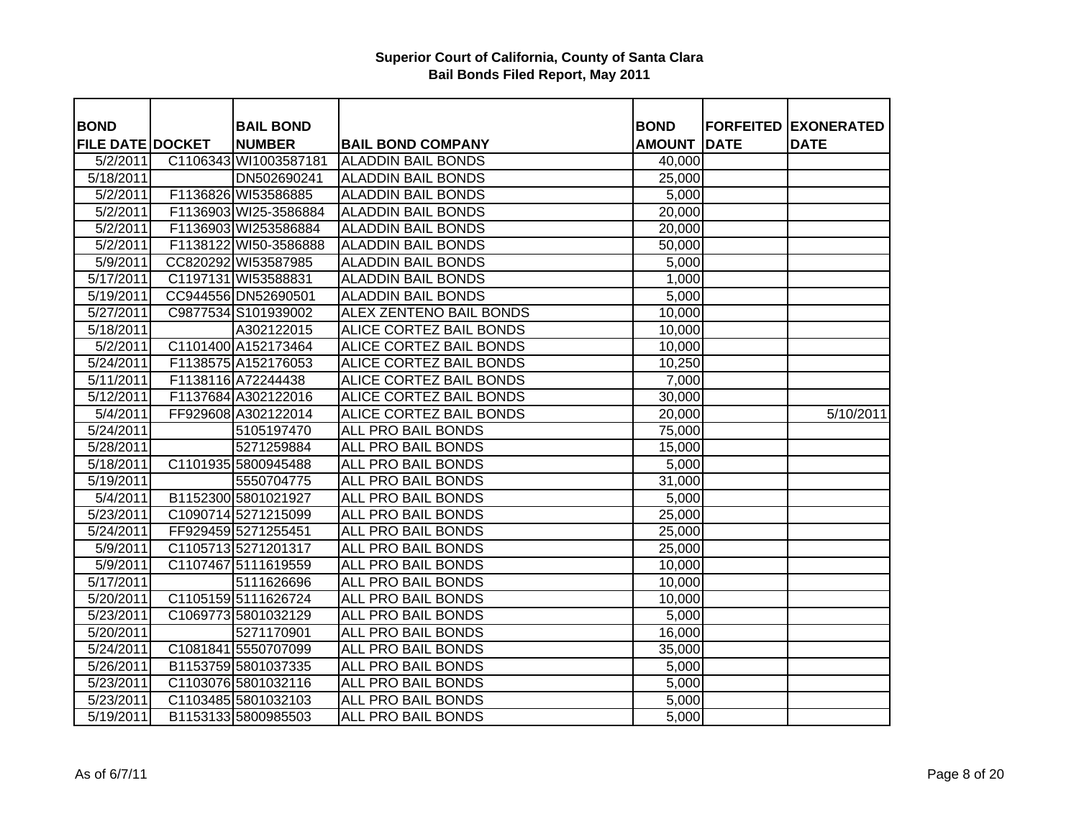| <b>BOND</b>             | <b>BAIL BOND</b>      |                                | <b>BOND</b>   |             | <b>FORFEITED EXONERATED</b> |
|-------------------------|-----------------------|--------------------------------|---------------|-------------|-----------------------------|
| <b>FILE DATE DOCKET</b> | <b>NUMBER</b>         | <b>BAIL BOND COMPANY</b>       | <b>AMOUNT</b> | <b>DATE</b> | <b>DATE</b>                 |
| 5/2/2011                | C1106343 WI1003587181 | <b>ALADDIN BAIL BONDS</b>      | 40,000        |             |                             |
| 5/18/2011               | DN502690241           | <b>ALADDIN BAIL BONDS</b>      | 25,000        |             |                             |
| 5/2/2011                | F1136826 WI53586885   | <b>ALADDIN BAIL BONDS</b>      | 5,000         |             |                             |
| 5/2/2011                | F1136903 WI25-3586884 | <b>ALADDIN BAIL BONDS</b>      | 20,000        |             |                             |
| 5/2/2011                | F1136903 WI253586884  | <b>ALADDIN BAIL BONDS</b>      | 20,000        |             |                             |
| 5/2/2011                | F1138122 WI50-3586888 | <b>ALADDIN BAIL BONDS</b>      | 50,000        |             |                             |
| 5/9/2011                | CC820292 WI53587985   | <b>ALADDIN BAIL BONDS</b>      | 5,000         |             |                             |
| 5/17/2011               | C1197131 WI53588831   | <b>ALADDIN BAIL BONDS</b>      | 1,000         |             |                             |
| 5/19/2011               | CC944556 DN52690501   | <b>ALADDIN BAIL BONDS</b>      | 5,000         |             |                             |
| 5/27/2011               | C9877534 S101939002   | <b>ALEX ZENTENO BAIL BONDS</b> | 10,000        |             |                             |
| 5/18/2011               | A302122015            | ALICE CORTEZ BAIL BONDS        | 10,000        |             |                             |
| 5/2/2011                | C1101400 A152173464   | <b>ALICE CORTEZ BAIL BONDS</b> | 10,000        |             |                             |
| 5/24/2011               | F1138575 A152176053   | ALICE CORTEZ BAIL BONDS        | 10,250        |             |                             |
| $\overline{5}/11/2011$  | F1138116 A72244438    | <b>ALICE CORTEZ BAIL BONDS</b> | 7,000         |             |                             |
| 5/12/2011               | F1137684 A302122016   | ALICE CORTEZ BAIL BONDS        | 30,000        |             |                             |
| 5/4/2011                | FF929608 A302122014   | ALICE CORTEZ BAIL BONDS        | 20,000        |             | 5/10/2011                   |
| 5/24/2011               | 5105197470            | <b>ALL PRO BAIL BONDS</b>      | 75,000        |             |                             |
| 5/28/2011               | 5271259884            | <b>ALL PRO BAIL BONDS</b>      | 15,000        |             |                             |
| 5/18/2011               | C1101935 5800945488   | <b>ALL PRO BAIL BONDS</b>      | 5,000         |             |                             |
| $\frac{1}{5/19/2011}$   | 5550704775            | <b>ALL PRO BAIL BONDS</b>      | 31,000        |             |                             |
| 5/4/2011                | B1152300 5801021927   | <b>ALL PRO BAIL BONDS</b>      | 5,000         |             |                             |
| 5/23/2011               | C1090714 5271215099   | <b>ALL PRO BAIL BONDS</b>      | 25,000        |             |                             |
| 5/24/2011               | FF929459 5271255451   | ALL PRO BAIL BONDS             | 25,000        |             |                             |
| 5/9/2011                | C1105713 5271201317   | ALL PRO BAIL BONDS             | 25,000        |             |                             |
| $\frac{1}{5}$ /9/2011   | C1107467 5111619559   | ALL PRO BAIL BONDS             | 10,000        |             |                             |
| 5/17/2011               | 5111626696            | <b>ALL PRO BAIL BONDS</b>      | 10,000        |             |                             |
| 5/20/2011               | C11051595111626724    | <b>ALL PRO BAIL BONDS</b>      | 10,000        |             |                             |
| 5/23/2011               | C1069773 5801032129   | <b>ALL PRO BAIL BONDS</b>      | 5,000         |             |                             |
| 5/20/2011               | 5271170901            | <b>ALL PRO BAIL BONDS</b>      | 16,000        |             |                             |
| 5/24/2011               | C1081841 5550707099   | ALL PRO BAIL BONDS             | 35,000        |             |                             |
| 5/26/2011               | B1153759 5801037335   | ALL PRO BAIL BONDS             | 5,000         |             |                             |
| 5/23/2011               | C1103076 5801032116   | ALL PRO BAIL BONDS             | 5,000         |             |                             |
| 5/23/2011               | C1103485 5801032103   | <b>ALL PRO BAIL BONDS</b>      | 5,000         |             |                             |
| 5/19/2011               | B1153133 5800985503   | <b>ALL PRO BAIL BONDS</b>      | 5,000         |             |                             |
|                         |                       |                                |               |             |                             |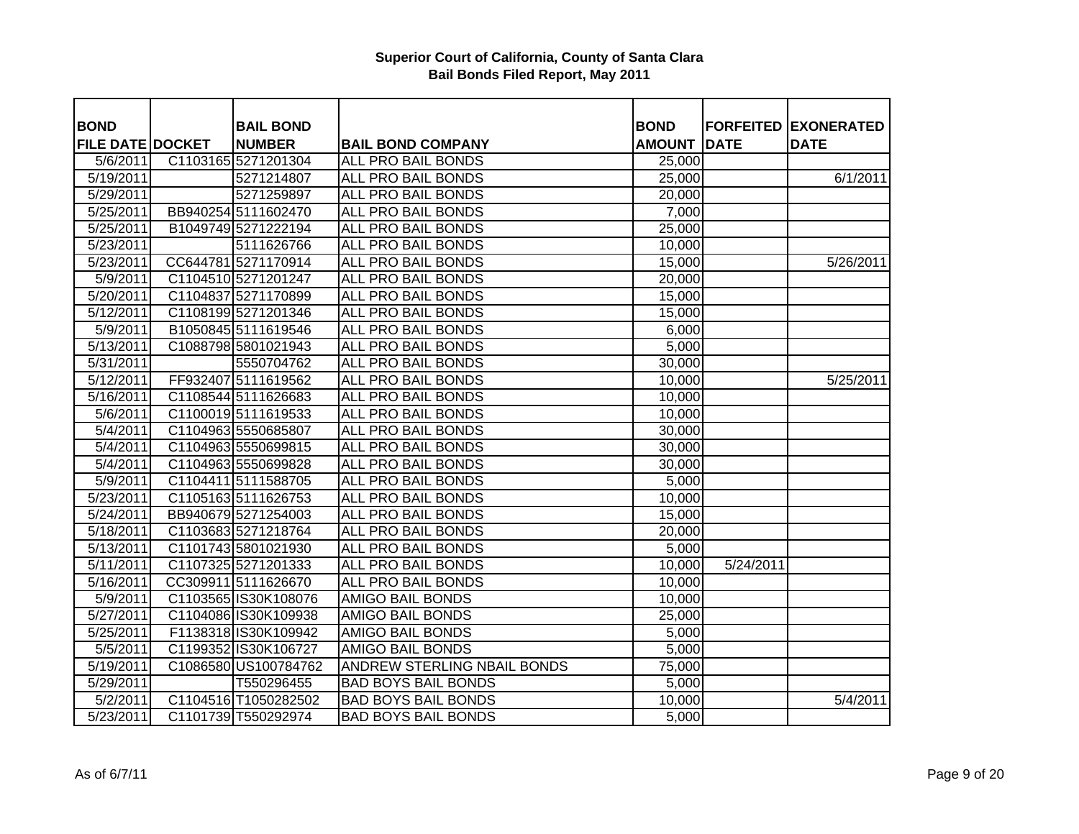| <b>BOND</b>             | <b>BAIL BOND</b>     |                                    | <b>BOND</b>   |             | <b>FORFEITED EXONERATED</b> |
|-------------------------|----------------------|------------------------------------|---------------|-------------|-----------------------------|
| <b>FILE DATE DOCKET</b> | <b>NUMBER</b>        | <b>BAIL BOND COMPANY</b>           | <b>AMOUNT</b> | <b>DATE</b> | <b>DATE</b>                 |
| 5/6/2011                | C1103165 5271201304  | <b>ALL PRO BAIL BONDS</b>          | 25,000        |             |                             |
| 5/19/2011               | 5271214807           | <b>ALL PRO BAIL BONDS</b>          | 25,000        |             | 6/1/2011                    |
| 5/29/2011               | 5271259897           | <b>ALL PRO BAIL BONDS</b>          | 20,000        |             |                             |
| $\overline{5/25/2011}$  | BB940254 5111602470  | ALL PRO BAIL BONDS                 | 7,000         |             |                             |
| 5/25/2011               | B1049749 5271222194  | ALL PRO BAIL BONDS                 | 25,000        |             |                             |
| 5/23/2011               | 5111626766           | <b>ALL PRO BAIL BONDS</b>          | 10,000        |             |                             |
| 5/23/2011               | CC644781 5271170914  | <b>ALL PRO BAIL BONDS</b>          | 15,000        |             | 5/26/2011                   |
| 5/9/2011                | C1104510 5271201247  | ALL PRO BAIL BONDS                 | 20,000        |             |                             |
| 5/20/2011               | C1104837 5271170899  | ALL PRO BAIL BONDS                 | 15,000        |             |                             |
| $\overline{5/12/2011}$  | C1108199 5271201346  | <b>ALL PRO BAIL BONDS</b>          | 15,000        |             |                             |
| 5/9/2011                | B1050845 5111619546  | ALL PRO BAIL BONDS                 | 6,000         |             |                             |
| 5/13/2011               | C1088798 5801021943  | <b>ALL PRO BAIL BONDS</b>          | 5,000         |             |                             |
| 5/31/2011               | 5550704762           | ALL PRO BAIL BONDS                 | 30,000        |             |                             |
| 5/12/2011               | FF932407 5111619562  | <b>ALL PRO BAIL BONDS</b>          | 10,000        |             | 5/25/2011                   |
| 5/16/2011               | C1108544 5111626683  | ALL PRO BAIL BONDS                 | 10,000        |             |                             |
| 5/6/2011                | C1100019 5111619533  | <b>ALL PRO BAIL BONDS</b>          | 10,000        |             |                             |
| 5/4/2011                | C1104963 5550685807  | <b>ALL PRO BAIL BONDS</b>          | 30,000        |             |                             |
| 5/4/2011                | C1104963 5550699815  | <b>ALL PRO BAIL BONDS</b>          | 30,000        |             |                             |
| 5/4/2011                | C1104963 5550699828  | <b>ALL PRO BAIL BONDS</b>          | 30,000        |             |                             |
| 5/9/2011                | C1104411 5111588705  | <b>ALL PRO BAIL BONDS</b>          | 5,000         |             |                             |
| 5/23/2011               | C1105163 5111626753  | <b>ALL PRO BAIL BONDS</b>          | 10,000        |             |                             |
| 5/24/2011               | BB940679 5271254003  | ALL PRO BAIL BONDS                 | 15,000        |             |                             |
| 5/18/2011               | C1103683 5271218764  | ALL PRO BAIL BONDS                 | 20,000        |             |                             |
| 5/13/2011               | C1101743 5801021930  | ALL PRO BAIL BONDS                 | 5,000         |             |                             |
| 5/11/2011               | C1107325 5271201333  | ALL PRO BAIL BONDS                 | 10,000        | 5/24/2011   |                             |
| 5/16/2011               | CC309911 5111626670  | <b>ALL PRO BAIL BONDS</b>          | 10,000        |             |                             |
| 5/9/2011                | C1103565 IS30K108076 | <b>AMIGO BAIL BONDS</b>            | 10,000        |             |                             |
| 5/27/2011               | C1104086 IS30K109938 | <b>AMIGO BAIL BONDS</b>            | 25,000        |             |                             |
| 5/25/2011               | F1138318 IS30K109942 | <b>AMIGO BAIL BONDS</b>            | 5,000         |             |                             |
| 5/5/2011                | C1199352 IS30K106727 | <b>AMIGO BAIL BONDS</b>            | 5,000         |             |                             |
| 5/19/2011               | C1086580 US100784762 | <b>ANDREW STERLING NBAIL BONDS</b> | 75,000        |             |                             |
| 5/29/2011               | T550296455           | <b>BAD BOYS BAIL BONDS</b>         | 5,000         |             |                             |
| 5/2/2011                | C1104516 T1050282502 | <b>BAD BOYS BAIL BONDS</b>         | 10,000        |             | 5/4/2011                    |
| 5/23/2011               | C1101739 T550292974  | <b>BAD BOYS BAIL BONDS</b>         | 5,000         |             |                             |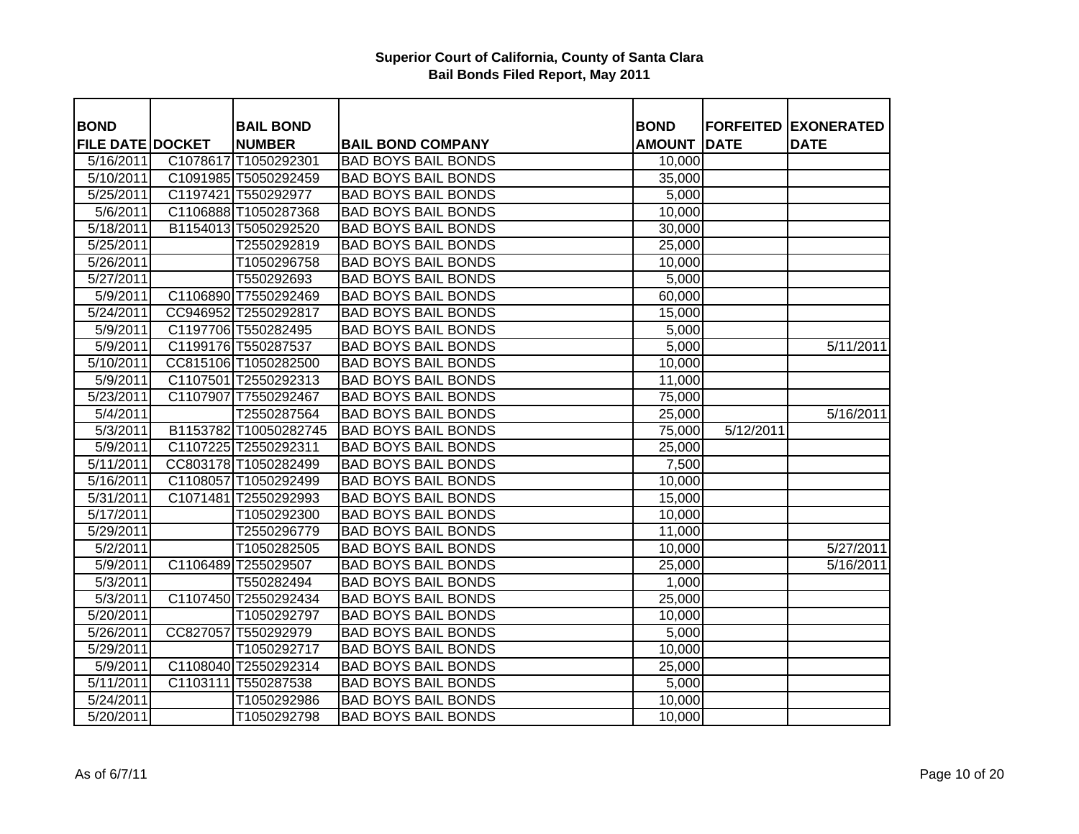| <b>BOND</b>                          |          | <b>BAIL BOND</b><br><b>NUMBER</b> |                                                        | <b>BOND</b><br><b>AMOUNT</b> | <b>DATE</b> | <b>FORFEITED EXONERATED</b><br><b>DATE</b> |
|--------------------------------------|----------|-----------------------------------|--------------------------------------------------------|------------------------------|-------------|--------------------------------------------|
| <b>FILE DATE DOCKET</b><br>5/16/2011 | C1078617 | T1050292301                       | <b>BAIL BOND COMPANY</b><br><b>BAD BOYS BAIL BONDS</b> | 10,000                       |             |                                            |
| 5/10/2011                            |          | C1091985 T5050292459              | <b>BAD BOYS BAIL BONDS</b>                             | 35,000                       |             |                                            |
| 5/25/2011                            |          | C1197421 T550292977               | <b>BAD BOYS BAIL BONDS</b>                             | 5,000                        |             |                                            |
| 5/6/2011                             |          | C1106888 T1050287368              | <b>BAD BOYS BAIL BONDS</b>                             | 10,000                       |             |                                            |
| 5/18/2011                            |          | B1154013 T5050292520              | <b>BAD BOYS BAIL BONDS</b>                             | 30,000                       |             |                                            |
| $\overline{5/25/2011}$               |          | T2550292819                       | <b>BAD BOYS BAIL BONDS</b>                             | 25,000                       |             |                                            |
| 5/26/2011                            |          | T1050296758                       | <b>BAD BOYS BAIL BONDS</b>                             | 10,000                       |             |                                            |
|                                      |          |                                   |                                                        |                              |             |                                            |
| 5/27/2011                            |          | T550292693                        | <b>BAD BOYS BAIL BONDS</b>                             | 5,000                        |             |                                            |
| 5/9/2011                             |          | C1106890 T7550292469              | <b>BAD BOYS BAIL BONDS</b>                             | 60,000                       |             |                                            |
| 5/24/2011                            |          | CC946952 T2550292817              | <b>BAD BOYS BAIL BONDS</b>                             | 15,000                       |             |                                            |
| 5/9/2011                             |          | C1197706 T550282495               | <b>BAD BOYS BAIL BONDS</b>                             | 5,000                        |             |                                            |
| 5/9/2011                             |          | C1199176 T550287537               | <b>BAD BOYS BAIL BONDS</b>                             | 5,000                        |             | 5/11/2011                                  |
| 5/10/2011                            |          | CC815106 T1050282500              | <b>BAD BOYS BAIL BONDS</b>                             | 10,000                       |             |                                            |
| 5/9/2011                             |          | C1107501 T2550292313              | <b>BAD BOYS BAIL BONDS</b>                             | 11,000                       |             |                                            |
| 5/23/2011                            |          | C1107907 T7550292467              | <b>BAD BOYS BAIL BONDS</b>                             | 75,000                       |             |                                            |
| 5/4/2011                             |          | T2550287564                       | <b>BAD BOYS BAIL BONDS</b>                             | 25,000                       |             | 5/16/2011                                  |
| 5/3/2011                             |          | B1153782 T10050282745             | <b>BAD BOYS BAIL BONDS</b>                             | 75,000                       | 5/12/2011   |                                            |
| 5/9/2011                             |          | C1107225 T2550292311              | <b>BAD BOYS BAIL BONDS</b>                             | 25,000                       |             |                                            |
| 5/11/2011                            |          | CC803178 T1050282499              | <b>BAD BOYS BAIL BONDS</b>                             | 7,500                        |             |                                            |
| 5/16/2011                            |          | C1108057 T1050292499              | <b>BAD BOYS BAIL BONDS</b>                             | 10,000                       |             |                                            |
| 5/31/2011                            |          | C1071481 T2550292993              | <b>BAD BOYS BAIL BONDS</b>                             | 15,000                       |             |                                            |
| 5/17/2011                            |          | T1050292300                       | <b>BAD BOYS BAIL BONDS</b>                             | 10,000                       |             |                                            |
| $\overline{5}/29/2011$               |          | T2550296779                       | <b>BAD BOYS BAIL BONDS</b>                             | 11,000                       |             |                                            |
| 5/2/2011                             |          | T1050282505                       | <b>BAD BOYS BAIL BONDS</b>                             | 10,000                       |             | 5/27/2011                                  |
| 5/9/2011                             |          | C1106489 T255029507               | <b>BAD BOYS BAIL BONDS</b>                             | 25,000                       |             | 5/16/2011                                  |
| 5/3/2011                             |          | T550282494                        | <b>BAD BOYS BAIL BONDS</b>                             | 1,000                        |             |                                            |
| 5/3/2011                             |          | C1107450 T2550292434              | <b>BAD BOYS BAIL BONDS</b>                             | 25,000                       |             |                                            |
| 5/20/2011                            |          | T1050292797                       | <b>BAD BOYS BAIL BONDS</b>                             | 10,000                       |             |                                            |
| 5/26/2011                            | CC827057 | T550292979                        | <b>BAD BOYS BAIL BONDS</b>                             | 5,000                        |             |                                            |
| 5/29/2011                            |          | T1050292717                       | <b>BAD BOYS BAIL BONDS</b>                             | 10,000                       |             |                                            |
| 5/9/2011                             |          | C1108040 T2550292314              | <b>BAD BOYS BAIL BONDS</b>                             | 25,000                       |             |                                            |
| 5/11/2011                            |          | C1103111 T550287538               | <b>BAD BOYS BAIL BONDS</b>                             | 5,000                        |             |                                            |
| 5/24/2011                            |          | T1050292986                       | <b>BAD BOYS BAIL BONDS</b>                             | 10,000                       |             |                                            |
| 5/20/2011                            |          | T1050292798                       | <b>BAD BOYS BAIL BONDS</b>                             | 10,000                       |             |                                            |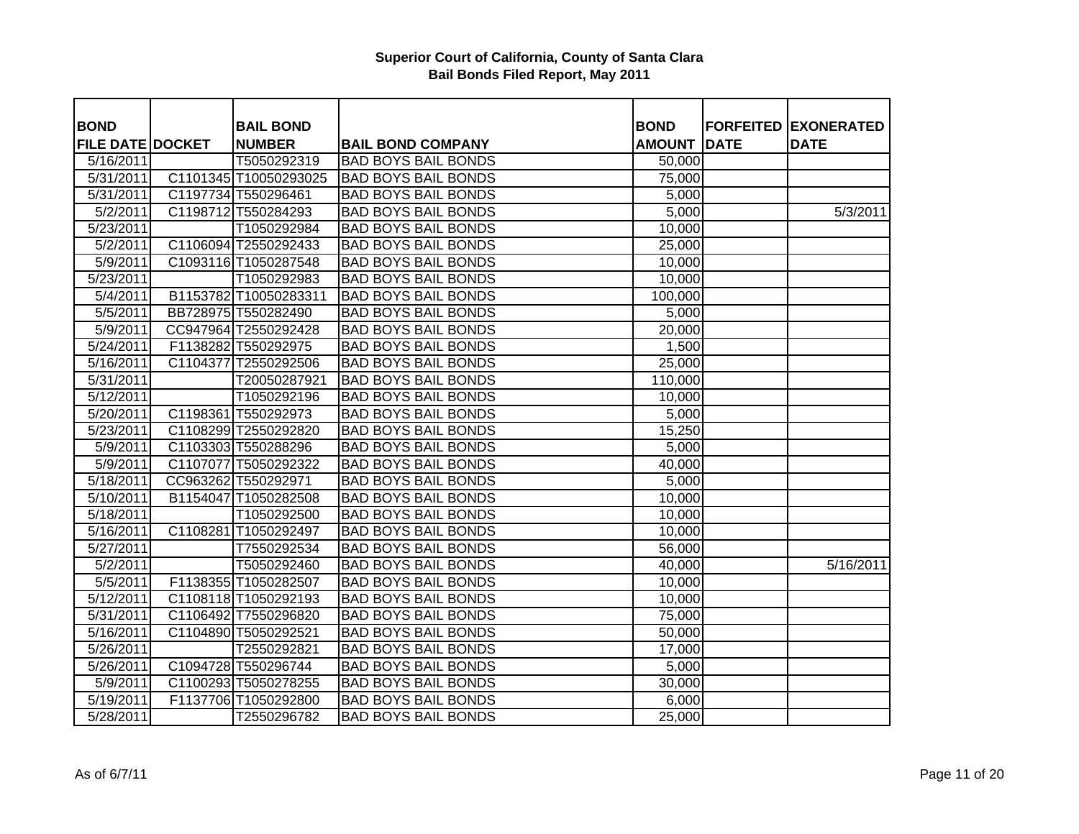| <b>BOND</b>             | <b>BAIL BOND</b>      |                            | <b>BOND</b>   |             | <b>FORFEITED EXONERATED</b> |
|-------------------------|-----------------------|----------------------------|---------------|-------------|-----------------------------|
| <b>FILE DATE DOCKET</b> | <b>NUMBER</b>         | <b>BAIL BOND COMPANY</b>   | <b>AMOUNT</b> | <b>DATE</b> | <b>DATE</b>                 |
| 5/16/2011               | T5050292319           | <b>BAD BOYS BAIL BONDS</b> | 50,000        |             |                             |
| 5/31/2011               | C1101345 T10050293025 | <b>BAD BOYS BAIL BONDS</b> | 75,000        |             |                             |
| 5/31/2011               | C1197734 T550296461   | <b>BAD BOYS BAIL BONDS</b> | 5,000         |             |                             |
| 5/2/2011                | C1198712 T550284293   | <b>BAD BOYS BAIL BONDS</b> | 5,000         |             | 5/3/2011                    |
| 5/23/2011               | T1050292984           | <b>BAD BOYS BAIL BONDS</b> | 10,000        |             |                             |
| 5/2/2011                | C1106094 T2550292433  | <b>BAD BOYS BAIL BONDS</b> | 25,000        |             |                             |
| 5/9/2011                | C1093116 T1050287548  | <b>BAD BOYS BAIL BONDS</b> | 10,000        |             |                             |
| $\overline{5/2}3/2011$  | T1050292983           | <b>BAD BOYS BAIL BONDS</b> | 10,000        |             |                             |
| 5/4/2011                | B1153782 T10050283311 | <b>BAD BOYS BAIL BONDS</b> | 100,000       |             |                             |
| 5/5/2011                | BB728975 T550282490   | <b>BAD BOYS BAIL BONDS</b> | 5,000         |             |                             |
| 5/9/2011                | CC947964 T2550292428  | <b>BAD BOYS BAIL BONDS</b> | 20,000        |             |                             |
| 5/24/2011               | F1138282 T550292975   | <b>BAD BOYS BAIL BONDS</b> | 1,500         |             |                             |
| 5/16/2011               | C1104377 T2550292506  | <b>BAD BOYS BAIL BONDS</b> | 25,000        |             |                             |
| 5/31/2011               | T20050287921          | <b>BAD BOYS BAIL BONDS</b> | 110,000       |             |                             |
| 5/12/2011               | T1050292196           | <b>BAD BOYS BAIL BONDS</b> | 10,000        |             |                             |
| 5/20/2011               | C1198361 T550292973   | <b>BAD BOYS BAIL BONDS</b> | 5,000         |             |                             |
| $\sqrt{5/23/2011}$      | C1108299 T2550292820  | <b>BAD BOYS BAIL BONDS</b> | 15,250        |             |                             |
| 5/9/2011                | C1103303 T550288296   | <b>BAD BOYS BAIL BONDS</b> | 5,000         |             |                             |
| 5/9/2011                | C1107077 T5050292322  | <b>BAD BOYS BAIL BONDS</b> | 40,000        |             |                             |
| 5/18/2011               | CC963262 T550292971   | <b>BAD BOYS BAIL BONDS</b> | 5,000         |             |                             |
| $\frac{1}{5/10/2011}$   | B1154047 T1050282508  | <b>BAD BOYS BAIL BONDS</b> | 10,000        |             |                             |
| 5/18/2011               | T1050292500           | <b>BAD BOYS BAIL BONDS</b> | 10,000        |             |                             |
| 5/16/2011               | C1108281 T1050292497  | <b>BAD BOYS BAIL BONDS</b> | 10,000        |             |                             |
| 5/27/2011               | T7550292534           | <b>BAD BOYS BAIL BONDS</b> | 56,000        |             |                             |
| 5/2/2011                | T5050292460           | <b>BAD BOYS BAIL BONDS</b> | 40,000        |             | 5/16/2011                   |
| 5/5/2011                | F1138355 T1050282507  | <b>BAD BOYS BAIL BONDS</b> | 10,000        |             |                             |
| 5/12/2011               | C1108118 T1050292193  | <b>BAD BOYS BAIL BONDS</b> | 10,000        |             |                             |
| 5/31/2011               | C1106492 T7550296820  | <b>BAD BOYS BAIL BONDS</b> | 75,000        |             |                             |
| 5/16/2011               | C1104890 T5050292521  | <b>BAD BOYS BAIL BONDS</b> | 50,000        |             |                             |
| 5/26/2011               | T2550292821           | <b>BAD BOYS BAIL BONDS</b> | 17,000        |             |                             |
| 5/26/2011               | C1094728 T550296744   | <b>BAD BOYS BAIL BONDS</b> | 5,000         |             |                             |
| 5/9/2011                | C1100293 T5050278255  | <b>BAD BOYS BAIL BONDS</b> | 30,000        |             |                             |
| 5/19/2011               | F1137706 T1050292800  | <b>BAD BOYS BAIL BONDS</b> | 6,000         |             |                             |
| 5/28/2011               | T2550296782           | <b>BAD BOYS BAIL BONDS</b> | 25,000        |             |                             |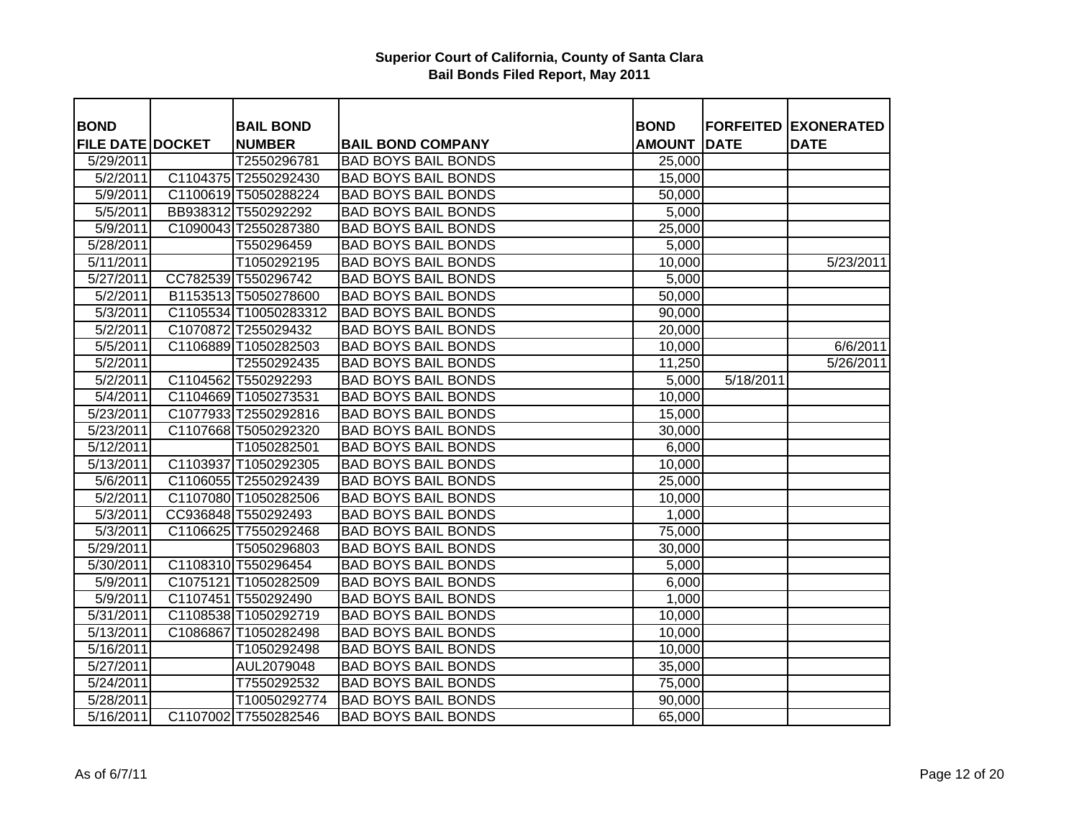| <b>BOND</b>             | <b>BAIL BOND</b>      |                            | <b>BOND</b>   |             | <b>FORFEITED EXONERATED</b> |
|-------------------------|-----------------------|----------------------------|---------------|-------------|-----------------------------|
| <b>FILE DATE DOCKET</b> | <b>NUMBER</b>         | <b>BAIL BOND COMPANY</b>   | <b>AMOUNT</b> | <b>DATE</b> | <b>DATE</b>                 |
| 5/29/2011               | T2550296781           | <b>BAD BOYS BAIL BONDS</b> | 25,000        |             |                             |
| 5/2/2011                | C1104375 T2550292430  | <b>BAD BOYS BAIL BONDS</b> | 15,000        |             |                             |
| 5/9/2011                | C1100619 T5050288224  | <b>BAD BOYS BAIL BONDS</b> | 50,000        |             |                             |
| 5/5/2011                | BB938312 T550292292   | <b>BAD BOYS BAIL BONDS</b> | 5,000         |             |                             |
| 5/9/2011                | C1090043 T2550287380  | <b>BAD BOYS BAIL BONDS</b> | 25,000        |             |                             |
| 5/28/2011               | T550296459            | <b>BAD BOYS BAIL BONDS</b> | 5,000         |             |                             |
| 5/11/2011               | T1050292195           | <b>BAD BOYS BAIL BONDS</b> | 10,000        |             | 5/23/2011                   |
| 5/27/2011               | CC782539 T550296742   | <b>BAD BOYS BAIL BONDS</b> | 5,000         |             |                             |
| 5/2/2011                | B1153513 T5050278600  | <b>BAD BOYS BAIL BONDS</b> | 50,000        |             |                             |
| 5/3/2011                | C1105534 T10050283312 | <b>BAD BOYS BAIL BONDS</b> | 90,000        |             |                             |
| 5/2/2011                | C1070872 T255029432   | <b>BAD BOYS BAIL BONDS</b> | 20,000        |             |                             |
| 5/5/2011                | C1106889 T1050282503  | <b>BAD BOYS BAIL BONDS</b> | 10,000        |             | 6/6/2011                    |
| 5/2/2011                | T2550292435           | <b>BAD BOYS BAIL BONDS</b> | 11,250        |             | 5/26/2011                   |
| 5/2/2011                | C1104562 T550292293   | <b>BAD BOYS BAIL BONDS</b> | 5,000         | 5/18/2011   |                             |
| 5/4/2011                | C1104669 T1050273531  | <b>BAD BOYS BAIL BONDS</b> | 10,000        |             |                             |
| 5/23/2011               | C1077933 T2550292816  | <b>BAD BOYS BAIL BONDS</b> | 15,000        |             |                             |
| 5/23/2011               | C1107668 T5050292320  | <b>BAD BOYS BAIL BONDS</b> | 30,000        |             |                             |
| 5/12/2011               | T1050282501           | <b>BAD BOYS BAIL BONDS</b> | 6,000         |             |                             |
| 5/13/2011               | C1103937 T1050292305  | <b>BAD BOYS BAIL BONDS</b> | 10,000        |             |                             |
| 5/6/2011                | C1106055 T2550292439  | <b>BAD BOYS BAIL BONDS</b> | 25,000        |             |                             |
| 5/2/2011                | C1107080 T1050282506  | <b>BAD BOYS BAIL BONDS</b> | 10,000        |             |                             |
| 5/3/2011                | CC936848 T550292493   | <b>BAD BOYS BAIL BONDS</b> | 1,000         |             |                             |
| 5/3/2011                | C1106625 T7550292468  | <b>BAD BOYS BAIL BONDS</b> | 75,000        |             |                             |
| 5/29/2011               | T5050296803           | <b>BAD BOYS BAIL BONDS</b> | 30,000        |             |                             |
| 5/30/2011               | C1108310 T550296454   | <b>BAD BOYS BAIL BONDS</b> | 5,000         |             |                             |
| 5/9/2011                | C1075121 T1050282509  | <b>BAD BOYS BAIL BONDS</b> | 6,000         |             |                             |
| 5/9/2011                | C1107451 T550292490   | <b>BAD BOYS BAIL BONDS</b> | 1,000         |             |                             |
| 5/31/2011               | C1108538 T1050292719  | <b>BAD BOYS BAIL BONDS</b> | 10,000        |             |                             |
| 5/13/2011               | C1086867 T1050282498  | <b>BAD BOYS BAIL BONDS</b> | 10,000        |             |                             |
| 5/16/2011               | T1050292498           | <b>BAD BOYS BAIL BONDS</b> | 10,000        |             |                             |
| 5/27/2011               | AUL2079048            | <b>BAD BOYS BAIL BONDS</b> | 35,000        |             |                             |
| 5/24/2011               | T7550292532           | <b>BAD BOYS BAIL BONDS</b> | 75,000        |             |                             |
| 5/28/2011               | T10050292774          | <b>BAD BOYS BAIL BONDS</b> | 90,000        |             |                             |
| 5/16/2011               | C1107002 T7550282546  | <b>BAD BOYS BAIL BONDS</b> | 65,000        |             |                             |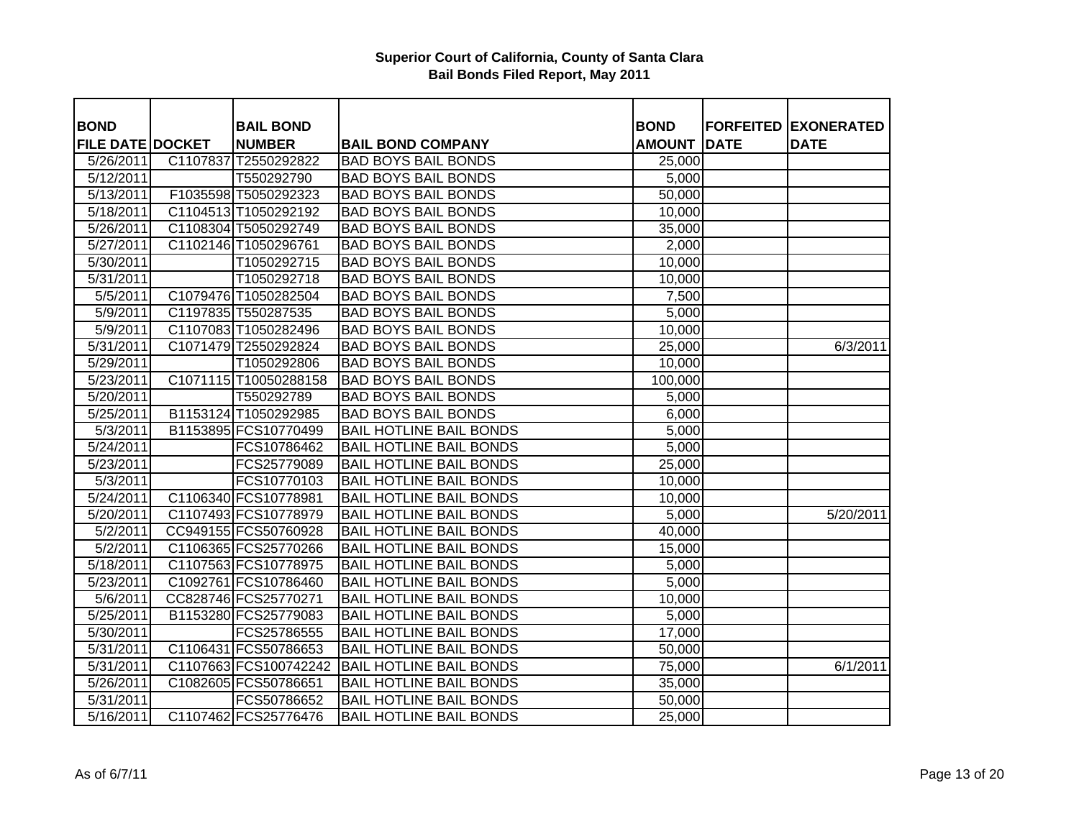| <b>BOND</b>             |          | <b>BAIL BOND</b>      |                                | <b>BOND</b>   |             | <b>FORFEITED EXONERATED</b> |
|-------------------------|----------|-----------------------|--------------------------------|---------------|-------------|-----------------------------|
| <b>FILE DATE DOCKET</b> |          | <b>NUMBER</b>         | <b>BAIL BOND COMPANY</b>       | <b>AMOUNT</b> | <b>DATE</b> | <b>DATE</b>                 |
| 5/26/2011               | C1107837 | T2550292822           | <b>BAD BOYS BAIL BONDS</b>     | 25,000        |             |                             |
| 5/12/2011               |          | T550292790            | <b>BAD BOYS BAIL BONDS</b>     | 5,000         |             |                             |
| $\overline{5/13/2011}$  |          | F1035598 T5050292323  | <b>BAD BOYS BAIL BONDS</b>     | 50,000        |             |                             |
| 5/18/2011               |          | C1104513 T1050292192  | <b>BAD BOYS BAIL BONDS</b>     | 10,000        |             |                             |
| 5/26/2011               |          | C1108304 T5050292749  | <b>BAD BOYS BAIL BONDS</b>     | 35,000        |             |                             |
| 5/27/2011               |          | C1102146 T1050296761  | <b>BAD BOYS BAIL BONDS</b>     | 2,000         |             |                             |
| 5/30/2011               |          | T1050292715           | <b>BAD BOYS BAIL BONDS</b>     | 10,000        |             |                             |
| $\overline{5/31/2011}$  |          | T1050292718           | <b>BAD BOYS BAIL BONDS</b>     | 10,000        |             |                             |
| 5/5/2011                |          | C1079476 T1050282504  | <b>BAD BOYS BAIL BONDS</b>     | 7,500         |             |                             |
| 5/9/2011                |          | C1197835 T550287535   | <b>BAD BOYS BAIL BONDS</b>     | 5,000         |             |                             |
| 5/9/2011                |          | C1107083 T1050282496  | <b>BAD BOYS BAIL BONDS</b>     | 10,000        |             |                             |
| 5/31/2011               |          | C1071479 T2550292824  | <b>BAD BOYS BAIL BONDS</b>     | 25,000        |             | 6/3/2011                    |
| 5/29/2011               |          | T1050292806           | <b>BAD BOYS BAIL BONDS</b>     | 10,000        |             |                             |
| 5/23/2011               |          | C1071115 T10050288158 | <b>BAD BOYS BAIL BONDS</b>     | 100,000       |             |                             |
| 5/20/2011               |          | T550292789            | <b>BAD BOYS BAIL BONDS</b>     | 5,000         |             |                             |
| $\overline{5/25/2011}$  |          | B1153124 T1050292985  | <b>BAD BOYS BAIL BONDS</b>     | 6,000         |             |                             |
| 5/3/2011                |          | B1153895 FCS10770499  | <b>BAIL HOTLINE BAIL BONDS</b> | 5,000         |             |                             |
| 5/24/2011               |          | FCS10786462           | <b>BAIL HOTLINE BAIL BONDS</b> | 5,000         |             |                             |
| 5/23/2011               |          | FCS25779089           | <b>BAIL HOTLINE BAIL BONDS</b> | 25,000        |             |                             |
| $\sqrt{5/3}/2011$       |          | FCS10770103           | <b>BAIL HOTLINE BAIL BONDS</b> | 10,000        |             |                             |
| $\sqrt{5/24/2011}$      |          | C1106340 FCS10778981  | <b>BAIL HOTLINE BAIL BONDS</b> | 10,000        |             |                             |
| 5/20/2011               |          | C1107493 FCS10778979  | <b>BAIL HOTLINE BAIL BONDS</b> | 5,000         |             | 5/20/2011                   |
| 5/2/2011                |          | CC949155 FCS50760928  | <b>BAIL HOTLINE BAIL BONDS</b> | 40,000        |             |                             |
| 5/2/2011                |          | C1106365 FCS25770266  | <b>BAIL HOTLINE BAIL BONDS</b> | 15,000        |             |                             |
| 5/18/2011               |          | C1107563 FCS10778975  | <b>BAIL HOTLINE BAIL BONDS</b> | 5,000         |             |                             |
| 5/23/2011               |          | C1092761 FCS10786460  | <b>BAIL HOTLINE BAIL BONDS</b> | 5,000         |             |                             |
| 5/6/2011                |          | CC828746 FCS25770271  | <b>BAIL HOTLINE BAIL BONDS</b> | 10,000        |             |                             |
| 5/25/2011               |          | B1153280 FCS25779083  | <b>BAIL HOTLINE BAIL BONDS</b> | 5,000         |             |                             |
| 5/30/2011               |          | FCS25786555           | <b>BAIL HOTLINE BAIL BONDS</b> | 17,000        |             |                             |
| 5/31/2011               |          | C1106431 FCS50786653  | <b>BAIL HOTLINE BAIL BONDS</b> | 50,000        |             |                             |
| 5/31/2011               |          | C1107663 FCS100742242 | <b>BAIL HOTLINE BAIL BONDS</b> | 75,000        |             | 6/1/2011                    |
| 5/26/2011               |          | C1082605 FCS50786651  | <b>BAIL HOTLINE BAIL BONDS</b> | 35,000        |             |                             |
| 5/31/2011               |          | FCS50786652           | <b>BAIL HOTLINE BAIL BONDS</b> | 50,000        |             |                             |
| 5/16/2011               |          | C1107462 FCS25776476  | <b>BAIL HOTLINE BAIL BONDS</b> | 25,000        |             |                             |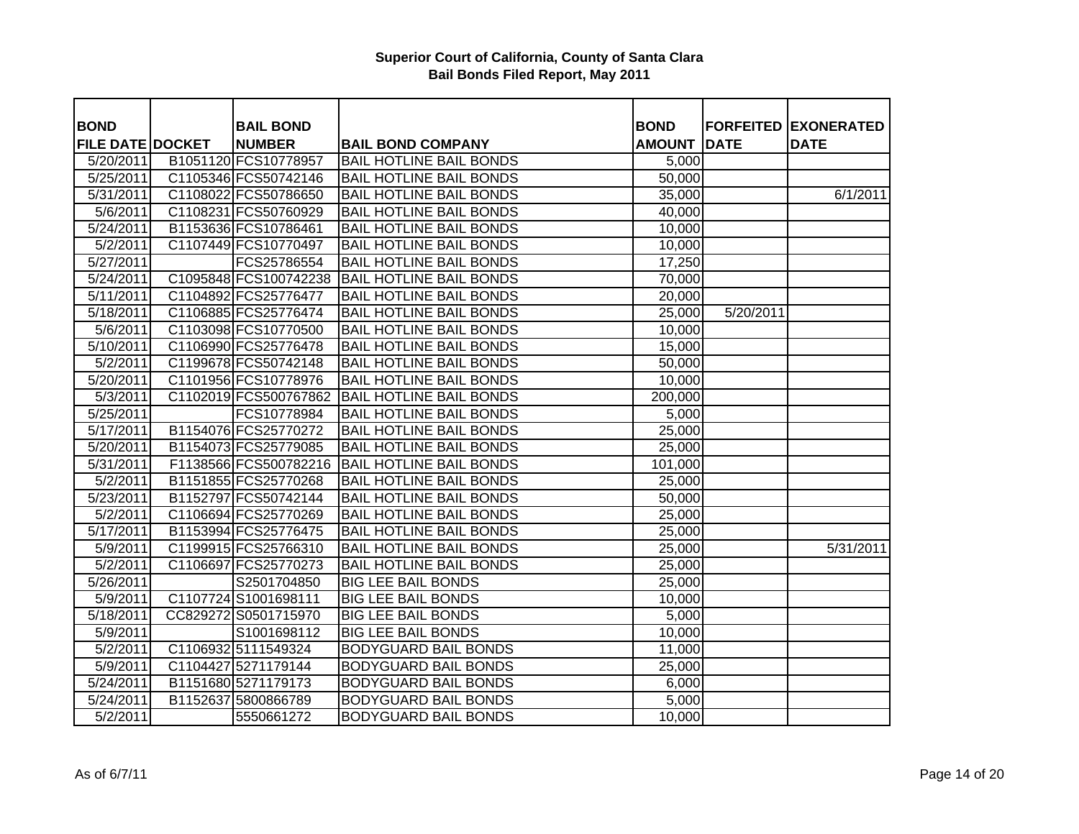| <b>BOND</b>             | <b>BAIL BOND</b>      |                                | <b>BOND</b>   |             | <b>FORFEITED EXONERATED</b> |
|-------------------------|-----------------------|--------------------------------|---------------|-------------|-----------------------------|
| <b>FILE DATE DOCKET</b> | <b>NUMBER</b>         | <b>BAIL BOND COMPANY</b>       | <b>AMOUNT</b> | <b>DATE</b> | <b>DATE</b>                 |
| 5/20/2011               | B1051120 FCS10778957  | <b>BAIL HOTLINE BAIL BONDS</b> | 5,000         |             |                             |
| 5/25/2011               | C1105346 FCS50742146  | <b>BAIL HOTLINE BAIL BONDS</b> | 50,000        |             |                             |
| $\overline{5/31/2011}$  | C1108022 FCS50786650  | <b>BAIL HOTLINE BAIL BONDS</b> | 35,000        |             | 6/1/2011                    |
| 5/6/2011                | C1108231 FCS50760929  | <b>BAIL HOTLINE BAIL BONDS</b> | 40,000        |             |                             |
| $\sqrt{5/24/2011}$      | B1153636 FCS10786461  | <b>BAIL HOTLINE BAIL BONDS</b> | 10,000        |             |                             |
| 5/2/2011                | C1107449 FCS10770497  | <b>BAIL HOTLINE BAIL BONDS</b> | 10,000        |             |                             |
| 5/27/2011               | FCS25786554           | <b>BAIL HOTLINE BAIL BONDS</b> | 17,250        |             |                             |
| 5/24/2011               | C1095848 FCS100742238 | <b>BAIL HOTLINE BAIL BONDS</b> | 70,000        |             |                             |
| 5/11/2011               | C1104892 FCS25776477  | <b>BAIL HOTLINE BAIL BONDS</b> | 20,000        |             |                             |
| 5/18/2011               | C1106885 FCS25776474  | <b>BAIL HOTLINE BAIL BONDS</b> | 25,000        | 5/20/2011   |                             |
| 5/6/2011                | C1103098 FCS10770500  | <b>BAIL HOTLINE BAIL BONDS</b> | 10,000        |             |                             |
| 5/10/2011               | C1106990 FCS25776478  | <b>BAIL HOTLINE BAIL BONDS</b> | 15,000        |             |                             |
| $\sqrt{5/2}/2011$       | C1199678 FCS50742148  | <b>BAIL HOTLINE BAIL BONDS</b> | 50,000        |             |                             |
| 5/20/2011               | C1101956 FCS10778976  | <b>BAIL HOTLINE BAIL BONDS</b> | 10,000        |             |                             |
| 5/3/2011                | C1102019 FCS500767862 | <b>BAIL HOTLINE BAIL BONDS</b> | 200,000       |             |                             |
| 5/25/2011               | FCS10778984           | <b>BAIL HOTLINE BAIL BONDS</b> | 5,000         |             |                             |
| 5/17/2011               | B1154076 FCS25770272  | <b>BAIL HOTLINE BAIL BONDS</b> | 25,000        |             |                             |
| 5/20/2011               | B1154073 FCS25779085  | <b>BAIL HOTLINE BAIL BONDS</b> | 25,000        |             |                             |
| 5/31/2011               | F1138566 FCS500782216 | <b>BAIL HOTLINE BAIL BONDS</b> | 101,000       |             |                             |
| 5/2/2011                | B1151855 FCS25770268  | <b>BAIL HOTLINE BAIL BONDS</b> | 25,000        |             |                             |
| 5/23/2011               | B1152797 FCS50742144  | <b>BAIL HOTLINE BAIL BONDS</b> | 50,000        |             |                             |
| 5/2/2011                | C1106694 FCS25770269  | <b>BAIL HOTLINE BAIL BONDS</b> | 25,000        |             |                             |
| 5/17/2011               | B1153994 FCS25776475  | <b>BAIL HOTLINE BAIL BONDS</b> | 25,000        |             |                             |
| 5/9/2011                | C1199915 FCS25766310  | <b>BAIL HOTLINE BAIL BONDS</b> | 25,000        |             | 5/31/2011                   |
| $\overline{5}/2/2011$   | C1106697 FCS25770273  | <b>BAIL HOTLINE BAIL BONDS</b> | 25,000        |             |                             |
| $\overline{5/26/2011}$  | S2501704850           | <b>BIG LEE BAIL BONDS</b>      | 25,000        |             |                             |
| 5/9/2011                | C1107724 S1001698111  | <b>BIG LEE BAIL BONDS</b>      | 10,000        |             |                             |
| 5/18/2011               | CC829272 S0501715970  | <b>BIG LEE BAIL BONDS</b>      | 5,000         |             |                             |
| 5/9/2011                | S1001698112           | <b>BIG LEE BAIL BONDS</b>      | 10,000        |             |                             |
| 5/2/2011                | C1106932 5111549324   | <b>BODYGUARD BAIL BONDS</b>    | 11,000        |             |                             |
| 5/9/2011                | C1104427 5271179144   | <b>BODYGUARD BAIL BONDS</b>    | 25,000        |             |                             |
| $\overline{5/24/2011}$  | B1151680 5271179173   | <b>BODYGUARD BAIL BONDS</b>    | 6,000         |             |                             |
| 5/24/2011               | B1152637 5800866789   | <b>BODYGUARD BAIL BONDS</b>    | 5,000         |             |                             |
| 5/2/2011                | 5550661272            | <b>BODYGUARD BAIL BONDS</b>    | 10,000        |             |                             |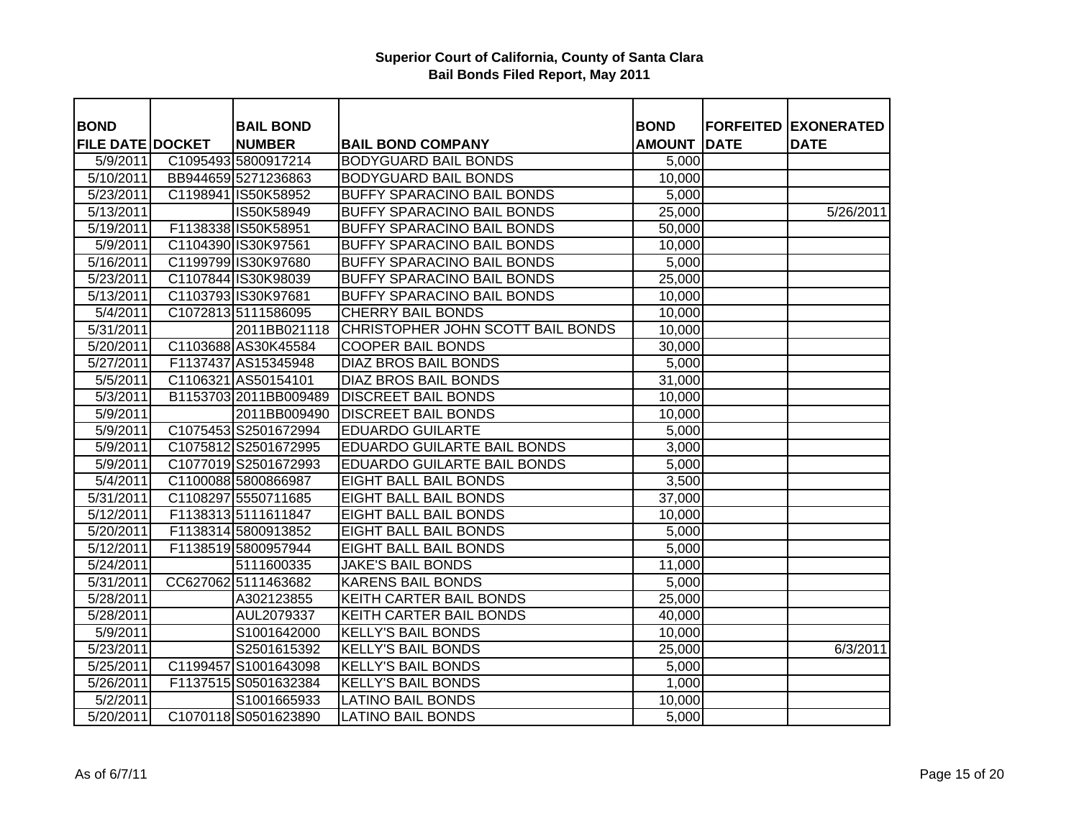| <b>BOND</b>             | <b>BAIL BOND</b>      |                                    | <b>BOND</b>   |             | <b>FORFEITED EXONERATED</b> |
|-------------------------|-----------------------|------------------------------------|---------------|-------------|-----------------------------|
| <b>FILE DATE DOCKET</b> | <b>NUMBER</b>         | <b>BAIL BOND COMPANY</b>           | <b>AMOUNT</b> | <b>DATE</b> | <b>DATE</b>                 |
| 5/9/2011                | C1095493 5800917214   | <b>BODYGUARD BAIL BONDS</b>        | 5,000         |             |                             |
| 5/10/2011               | BB944659 5271236863   | <b>BODYGUARD BAIL BONDS</b>        | 10,000        |             |                             |
| $\overline{5}/23/2011$  | C1198941 IS50K58952   | <b>BUFFY SPARACINO BAIL BONDS</b>  | 5,000         |             |                             |
| $\overline{5/13/2011}$  | IS50K58949            | <b>BUFFY SPARACINO BAIL BONDS</b>  | 25,000        |             | 5/26/2011                   |
| 5/19/2011               | F1138338 IS50K58951   | <b>BUFFY SPARACINO BAIL BONDS</b>  | 50,000        |             |                             |
| 5/9/2011                | C1104390 IS30K97561   | <b>BUFFY SPARACINO BAIL BONDS</b>  | 10,000        |             |                             |
| 5/16/2011               | C1199799 IS30K97680   | <b>BUFFY SPARACINO BAIL BONDS</b>  | 5,000         |             |                             |
| 5/23/2011               | C1107844 IS30K98039   | <b>BUFFY SPARACINO BAIL BONDS</b>  | 25,000        |             |                             |
| 5/13/2011               | C1103793 IS30K97681   | <b>BUFFY SPARACINO BAIL BONDS</b>  | 10,000        |             |                             |
| 5/4/2011                | C1072813 5111586095   | <b>CHERRY BAIL BONDS</b>           | 10,000        |             |                             |
| $\sqrt{5/31}/2011$      | 2011BB021118          | CHRISTOPHER JOHN SCOTT BAIL BONDS  | 10,000        |             |                             |
| 5/20/2011               | C1103688 AS30K45584   | <b>COOPER BAIL BONDS</b>           | 30,000        |             |                             |
| 5/27/2011               | F1137437 AS15345948   | <b>DIAZ BROS BAIL BONDS</b>        | 5,000         |             |                             |
| 5/5/2011                | C1106321 AS50154101   | <b>DIAZ BROS BAIL BONDS</b>        | 31,000        |             |                             |
| 5/3/2011                | B1153703 2011BB009489 | <b>DISCREET BAIL BONDS</b>         | 10,000        |             |                             |
| $\frac{1}{5}$ /9/2011   | 2011BB009490          | <b>DISCREET BAIL BONDS</b>         | 10,000        |             |                             |
| 5/9/2011                | C1075453 S2501672994  | <b>EDUARDO GUILARTE</b>            | 5,000         |             |                             |
| 5/9/2011                | C1075812 S2501672995  | <b>EDUARDO GUILARTE BAIL BONDS</b> | 3,000         |             |                             |
| 5/9/2011                | C1077019 S2501672993  | <b>EDUARDO GUILARTE BAIL BONDS</b> | 5,000         |             |                             |
| 5/4/2011                | C1100088 5800866987   | <b>EIGHT BALL BAIL BONDS</b>       | 3,500         |             |                             |
| 5/31/2011               | C1108297 5550711685   | <b>EIGHT BALL BAIL BONDS</b>       | 37,000        |             |                             |
| 5/12/2011               | F1138313 5111611847   | <b>EIGHT BALL BAIL BONDS</b>       | 10,000        |             |                             |
| 5/20/2011               | F1138314 5800913852   | <b>EIGHT BALL BAIL BONDS</b>       | 5,000         |             |                             |
| 5/12/2011               | F1138519 5800957944   | <b>EIGHT BALL BAIL BONDS</b>       | 5,000         |             |                             |
| 5/24/2011               | 5111600335            | <b>JAKE'S BAIL BONDS</b>           | 11,000        |             |                             |
| 5/31/2011               | CC627062 5111463682   | <b>KARENS BAIL BONDS</b>           | 5,000         |             |                             |
| 5/28/2011               | A302123855            | <b>KEITH CARTER BAIL BONDS</b>     | 25,000        |             |                             |
| 5/28/2011               | AUL2079337            | <b>KEITH CARTER BAIL BONDS</b>     | 40,000        |             |                             |
| 5/9/2011                | S1001642000           | <b>KELLY'S BAIL BONDS</b>          | 10,000        |             |                             |
| 5/23/2011               | S2501615392           | <b>KELLY'S BAIL BONDS</b>          | 25,000        |             | 6/3/2011                    |
| 5/25/2011               | C1199457 S1001643098  | <b>KELLY'S BAIL BONDS</b>          | 5,000         |             |                             |
| 5/26/2011               | F1137515 S0501632384  | <b>KELLY'S BAIL BONDS</b>          | 1,000         |             |                             |
| 5/2/2011                | S1001665933           | <b>LATINO BAIL BONDS</b>           | 10,000        |             |                             |
| 5/20/2011               | C1070118 S0501623890  | <b>LATINO BAIL BONDS</b>           | 5,000         |             |                             |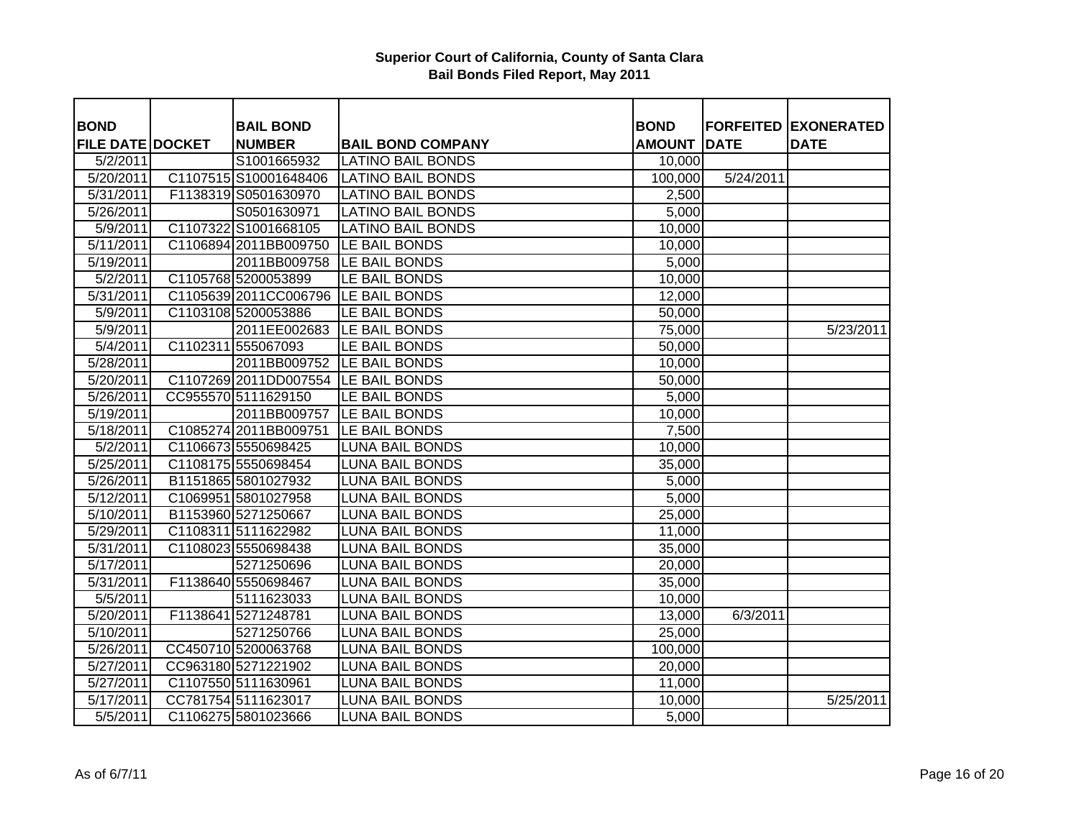| <b>BOND</b>             | <b>BAIL BOND</b>      |                                      | <b>BOND</b>   |             | <b>FORFEITED EXONERATED</b> |
|-------------------------|-----------------------|--------------------------------------|---------------|-------------|-----------------------------|
| <b>FILE DATE DOCKET</b> | <b>NUMBER</b>         | <b>BAIL BOND COMPANY</b>             | <b>AMOUNT</b> | <b>DATE</b> | <b>DATE</b>                 |
| 5/2/2011                | S1001665932           | <b>LATINO BAIL BONDS</b>             | 10,000        |             |                             |
| 5/20/2011               | C1107515 S10001648406 | <b>LATINO BAIL BONDS</b>             | 100,000       | 5/24/2011   |                             |
| 5/31/2011               | F1138319 S0501630970  | <b>LATINO BAIL BONDS</b>             | 2,500         |             |                             |
| 5/26/2011               | S0501630971           | <b>LATINO BAIL BONDS</b>             | 5,000         |             |                             |
| 5/9/2011                | C1107322 S1001668105  | <b>LATINO BAIL BONDS</b>             | 10,000        |             |                             |
| 5/11/2011               |                       | C1106894 2011BB009750 LE BAIL BONDS  | 10,000        |             |                             |
| 5/19/2011               | 2011BB009758          | LE BAIL BONDS                        | 5,000         |             |                             |
| 5/2/2011                | C1105768 5200053899   | LE BAIL BONDS                        | 10,000        |             |                             |
| 5/31/2011               |                       | C1105639 2011 CC006796 LE BAIL BONDS | 12,000        |             |                             |
| 5/9/2011                | C1103108 5200053886   | LE BAIL BONDS                        | 50,000        |             |                             |
| 5/9/2011                | 2011EE002683          | LE BAIL BONDS                        | 75,000        |             | 5/23/2011                   |
| 5/4/2011                | C1102311 555067093    | LE BAIL BONDS                        | 50,000        |             |                             |
| 5/28/2011               | 2011BB009752          | LE BAIL BONDS                        | 10,000        |             |                             |
| 5/20/2011               | C1107269 2011DD007554 | LE BAIL BONDS                        | 50,000        |             |                             |
| 5/26/2011               | CC955570 5111629150   | LE BAIL BONDS                        | 5,000         |             |                             |
| 5/19/2011               | 2011BB009757          | LE BAIL BONDS                        | 10,000        |             |                             |
| 5/18/2011               | C1085274 2011BB009751 | LE BAIL BONDS                        | 7,500         |             |                             |
| 5/2/2011                | C1106673 5550698425   | <b>LUNA BAIL BONDS</b>               | 10,000        |             |                             |
| 5/25/2011               | C1108175 5550698454   | <b>LUNA BAIL BONDS</b>               | 35,000        |             |                             |
| 5/26/2011               | B1151865 5801027932   | <b>LUNA BAIL BONDS</b>               | 5,000         |             |                             |
| 5/12/2011               | C1069951 5801027958   | <b>LUNA BAIL BONDS</b>               | 5,000         |             |                             |
| 5/10/2011               | B1153960 5271250667   | <b>LUNA BAIL BONDS</b>               | 25,000        |             |                             |
| 5/29/2011               | C1108311 5111622982   | <b>LUNA BAIL BONDS</b>               | 11,000        |             |                             |
| 5/31/2011               | C1108023 5550698438   | <b>LUNA BAIL BONDS</b>               | 35,000        |             |                             |
| 5/17/2011               | 5271250696            | <b>LUNA BAIL BONDS</b>               | 20,000        |             |                             |
| 5/31/2011               | F1138640 5550698467   | <b>LUNA BAIL BONDS</b>               | 35,000        |             |                             |
| 5/5/2011                | 5111623033            | <b>LUNA BAIL BONDS</b>               | 10,000        |             |                             |
| 5/20/2011               | F1138641 5271248781   | <b>LUNA BAIL BONDS</b>               | 13,000        | 6/3/2011    |                             |
| 5/10/2011               | 5271250766            | <b>LUNA BAIL BONDS</b>               | 25,000        |             |                             |
| 5/26/2011               | CC450710 5200063768   | <b>LUNA BAIL BONDS</b>               | 100,000       |             |                             |
| 5/27/2011               | CC963180 5271221902   | <b>LUNA BAIL BONDS</b>               | 20,000        |             |                             |
| 5/27/2011               | C1107550 5111630961   | <b>LUNA BAIL BONDS</b>               | 11,000        |             |                             |
| 5/17/2011               | CC781754 5111623017   | <b>LUNA BAIL BONDS</b>               | 10,000        |             | 5/25/2011                   |
| 5/5/2011                | C1106275 5801023666   | <b>LUNA BAIL BONDS</b>               | 5,000         |             |                             |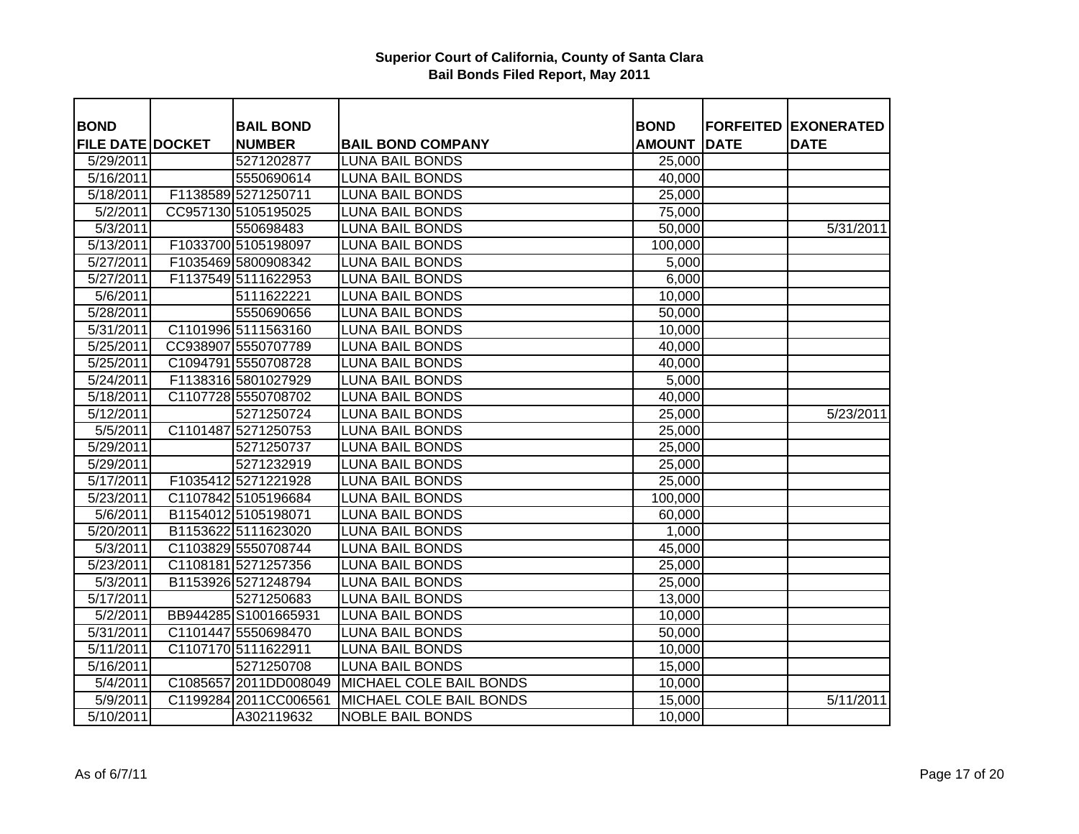| <b>BOND</b>             | <b>BAIL BOND</b>       |                                               | <b>BOND</b>   |             | <b>FORFEITED EXONERATED</b> |
|-------------------------|------------------------|-----------------------------------------------|---------------|-------------|-----------------------------|
| <b>FILE DATE DOCKET</b> | <b>NUMBER</b>          | <b>BAIL BOND COMPANY</b>                      | <b>AMOUNT</b> | <b>DATE</b> | <b>DATE</b>                 |
| 5/29/2011               | 5271202877             | <b>LUNA BAIL BONDS</b>                        | 25,000        |             |                             |
| 5/16/2011               | 5550690614             | <b>LUNA BAIL BONDS</b>                        | 40,000        |             |                             |
| 5/18/2011               | F1138589 5271250711    | <b>LUNA BAIL BONDS</b>                        | 25,000        |             |                             |
| 5/2/2011                | CC957130 5105195025    | <b>LUNA BAIL BONDS</b>                        | 75,000        |             |                             |
| 5/3/2011                | 550698483              | <b>LUNA BAIL BONDS</b>                        | 50,000        |             | 5/31/2011                   |
| 5/13/2011               | F1033700 5105198097    | <b>LUNA BAIL BONDS</b>                        | 100,000       |             |                             |
| 5/27/2011               | F1035469 5800908342    | <b>LUNA BAIL BONDS</b>                        | 5,000         |             |                             |
| 5/27/2011               | F1137549 5111622953    | <b>LUNA BAIL BONDS</b>                        | 6,000         |             |                             |
| 5/6/2011                | 5111622221             | <b>LUNA BAIL BONDS</b>                        | 10,000        |             |                             |
| 5/28/2011               | 5550690656             | <b>LUNA BAIL BONDS</b>                        | 50,000        |             |                             |
| 5/31/2011               | C1101996 5111563160    | <b>LUNA BAIL BONDS</b>                        | 10,000        |             |                             |
| 5/25/2011               | CC938907 5550707789    | <b>LUNA BAIL BONDS</b>                        | 40,000        |             |                             |
| 5/25/2011               | C1094791 5550708728    | <b>LUNA BAIL BONDS</b>                        | 40,000        |             |                             |
| 5/24/2011               | F1138316 5801027929    | <b>LUNA BAIL BONDS</b>                        | 5,000         |             |                             |
| 5/18/2011               | C1107728 5550708702    | <b>LUNA BAIL BONDS</b>                        | 40,000        |             |                             |
| 5/12/2011               | 5271250724             | <b>LUNA BAIL BONDS</b>                        | 25,000        |             | 5/23/2011                   |
| 5/5/2011                | C1101487 5271250753    | <b>LUNA BAIL BONDS</b>                        | 25,000        |             |                             |
| 5/29/2011               | 5271250737             | <b>LUNA BAIL BONDS</b>                        | 25,000        |             |                             |
| 5/29/2011               | 5271232919             | <b>LUNA BAIL BONDS</b>                        | 25,000        |             |                             |
| 5/17/2011               | F1035412 5271221928    | <b>LUNA BAIL BONDS</b>                        | 25,000        |             |                             |
| 5/23/2011               | C1107842 5105196684    | <b>LUNA BAIL BONDS</b>                        | 100,000       |             |                             |
| 5/6/2011                | B1154012 5105198071    | <b>LUNA BAIL BONDS</b>                        | 60,000        |             |                             |
| 5/20/2011               | B1153622 5111623020    | <b>LUNA BAIL BONDS</b>                        | 1,000         |             |                             |
| 5/3/2011                | C1103829 5550708744    | <b>LUNA BAIL BONDS</b>                        | 45,000        |             |                             |
| 5/23/2011               | C1108181 5271257356    | <b>LUNA BAIL BONDS</b>                        | 25,000        |             |                             |
| 5/3/2011                | B1153926 5271248794    | <b>LUNA BAIL BONDS</b>                        | 25,000        |             |                             |
| 5/17/2011               | 5271250683             | <b>LUNA BAIL BONDS</b>                        | 13,000        |             |                             |
| 5/2/2011                | BB944285 S1001665931   | <b>LUNA BAIL BONDS</b>                        | 10,000        |             |                             |
| 5/31/2011               | C1101447 5550698470    | <b>LUNA BAIL BONDS</b>                        | 50,000        |             |                             |
| 5/11/2011               | C1107170 5111622911    | <b>LUNA BAIL BONDS</b>                        | 10,000        |             |                             |
| 5/16/2011               | 5271250708             | <b>LUNA BAIL BONDS</b>                        | 15,000        |             |                             |
| 5/4/2011                |                        | C1085657 2011DD008049 MICHAEL COLE BAIL BONDS | 10,000        |             |                             |
| $\frac{1}{5}$ /9/2011   | C1199284 2011 CC006561 | MICHAEL COLE BAIL BONDS                       | 15,000        |             | 5/11/2011                   |
| $\overline{5/10/2011}$  | A302119632             | <b>NOBLE BAIL BONDS</b>                       | 10,000        |             |                             |
|                         |                        |                                               |               |             |                             |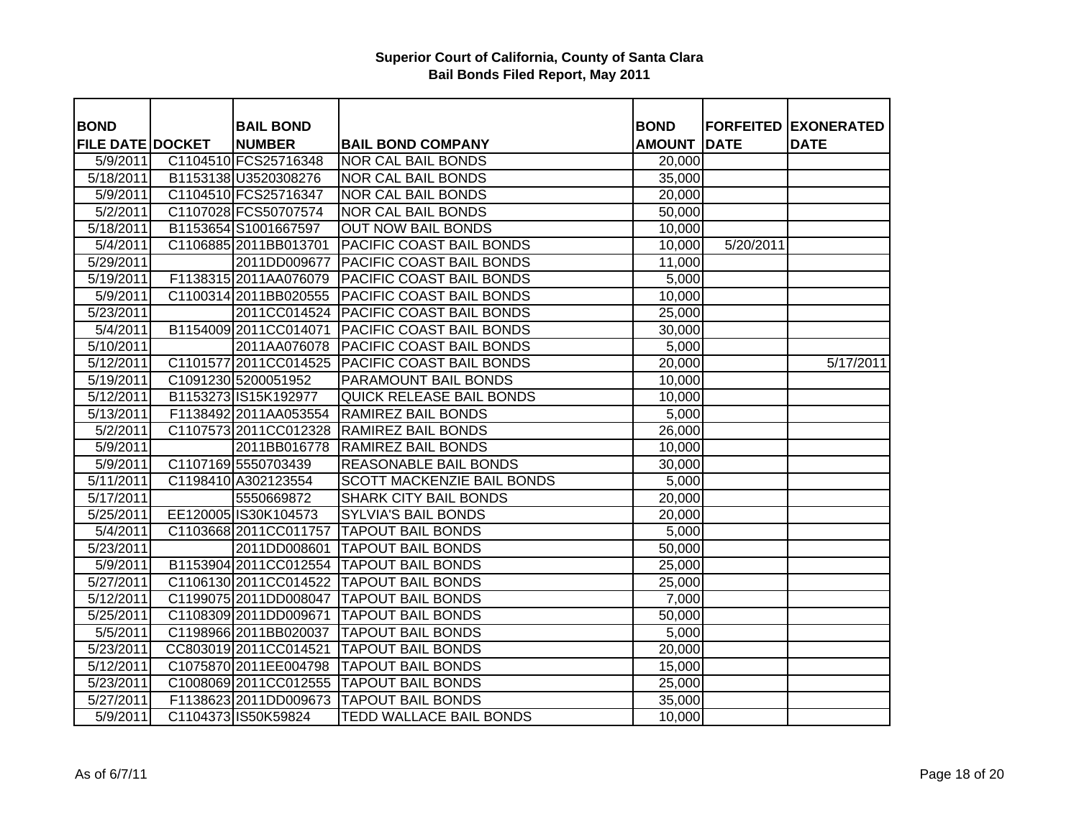| <b>BOND</b>             | <b>BAIL BOND</b>       |                                           | <b>BOND</b>         |             | <b>FORFEITED EXONERATED</b> |
|-------------------------|------------------------|-------------------------------------------|---------------------|-------------|-----------------------------|
| <b>FILE DATE DOCKET</b> | <b>NUMBER</b>          | <b>BAIL BOND COMPANY</b>                  | <b>AMOUNT</b>       | <b>DATE</b> | <b>DATE</b>                 |
| 5/9/2011                | C1104510 FCS25716348   | <b>NOR CAL BAIL BONDS</b>                 | 20,000              |             |                             |
| 5/18/2011               | B1153138 U3520308276   | NOR CAL BAIL BONDS                        | 35,000              |             |                             |
| 5/9/2011                | C1104510 FCS25716347   | NOR CAL BAIL BONDS                        | 20,000              |             |                             |
| 5/2/2011                | C1107028 FCS50707574   | NOR CAL BAIL BONDS                        | 50,000              |             |                             |
| 5/18/2011               | B1153654 S1001667597   | <b>OUT NOW BAIL BONDS</b>                 | 10,000              |             |                             |
| 5/4/2011                | C1106885 2011BB013701  | PACIFIC COAST BAIL BONDS                  | 10,000              | 5/20/2011   |                             |
| 5/29/2011               | 2011DD009677           | PACIFIC COAST BAIL BONDS                  | 11,000              |             |                             |
| 5/19/2011               | F1138315 2011AA076079  | <b>PACIFIC COAST BAIL BONDS</b>           | 5,000               |             |                             |
| 5/9/2011                | C1100314 2011BB020555  | <b>PACIFIC COAST BAIL BONDS</b>           | 10,000              |             |                             |
| 5/23/2011               | 2011CC014524           | <b>PACIFIC COAST BAIL BONDS</b>           | 25,000              |             |                             |
| 5/4/2011                | B1154009 2011CC014071  | <b>PACIFIC COAST BAIL BONDS</b>           | 30,000              |             |                             |
| 5/10/2011               | 2011AA076078           | <b>PACIFIC COAST BAIL BONDS</b>           | 5,000               |             |                             |
| 5/12/2011               | C1101577 2011 CC014525 | <b>PACIFIC COAST BAIL BONDS</b>           | 20,000              |             | 5/17/2011                   |
| 5/19/2011               | C1091230 5200051952    | PARAMOUNT BAIL BONDS                      | 10,000              |             |                             |
| 5/12/2011               | B1153273 IS15K192977   | QUICK RELEASE BAIL BONDS                  | 10,000              |             |                             |
| 5/13/2011               | F1138492 2011AA053554  | <b>RAMIREZ BAIL BONDS</b>                 | 5,000               |             |                             |
| 5/2/2011                | C1107573 2011CC012328  | <b>RAMIREZ BAIL BONDS</b>                 | $\overline{26,000}$ |             |                             |
| 5/9/2011                | 2011BB016778           | <b>RAMIREZ BAIL BONDS</b>                 | 10,000              |             |                             |
| 5/9/2011                | C1107169 5550703439    | <b>REASONABLE BAIL BONDS</b>              | 30,000              |             |                             |
| 5/11/2011               | C1198410 A302123554    | <b>SCOTT MACKENZIE BAIL BONDS</b>         | 5,000               |             |                             |
| 5/17/2011               | 5550669872             | <b>SHARK CITY BAIL BONDS</b>              | 20,000              |             |                             |
| $\overline{5}/25/2011$  | EE120005 IS30K104573   | <b>SYLVIA'S BAIL BONDS</b>                | 20,000              |             |                             |
| 5/4/2011                | C1103668 2011 CC011757 | <b>TAPOUT BAIL BONDS</b>                  | 5,000               |             |                             |
| 5/23/2011               | 2011DD008601           | <b>TAPOUT BAIL BONDS</b>                  | 50,000              |             |                             |
| 5/9/2011                | B1153904 2011CC012554  | <b>TAPOUT BAIL BONDS</b>                  | 25,000              |             |                             |
| 5/27/2011               | C1106130 2011CC014522  | <b>TAPOUT BAIL BONDS</b>                  | 25,000              |             |                             |
| 5/12/2011               |                        | C1199075 2011DD008047   TAPOUT BAIL BONDS | 7,000               |             |                             |
| 5/25/2011               | C1108309 2011DD009671  | <b>TAPOUT BAIL BONDS</b>                  | 50,000              |             |                             |
| 5/5/2011                |                        | C1198966 2011BB020037 TAPOUT BAIL BONDS   | 5,000               |             |                             |
| 5/23/2011               | CC803019 2011CC014521  | <b>TAPOUT BAIL BONDS</b>                  | 20,000              |             |                             |
| 5/12/2011               | C1075870 2011EE004798  | <b>TAPOUT BAIL BONDS</b>                  | 15,000              |             |                             |
| 5/23/2011               | C1008069 2011CC012555  | <b>TAPOUT BAIL BONDS</b>                  | 25,000              |             |                             |
| 5/27/2011               | F1138623 2011DD009673  | <b>TAPOUT BAIL BONDS</b>                  | 35,000              |             |                             |
| 5/9/2011                | C1104373 IS50K59824    | <b>TEDD WALLACE BAIL BONDS</b>            | 10,000              |             |                             |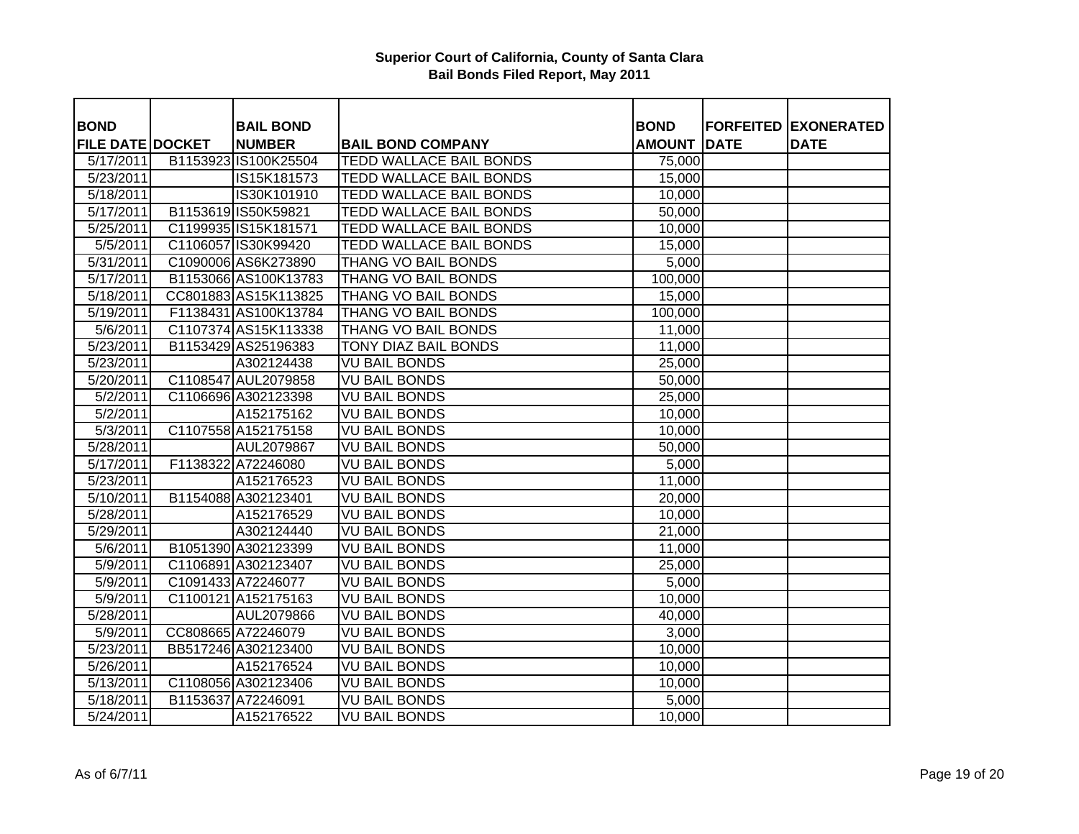| <b>BOND</b>             | <b>BAIL BOND</b>     |                                | <b>BOND</b>   |      | <b>FORFEITED EXONERATED</b> |
|-------------------------|----------------------|--------------------------------|---------------|------|-----------------------------|
| <b>FILE DATE DOCKET</b> | <b>NUMBER</b>        | <b>BAIL BOND COMPANY</b>       | <b>AMOUNT</b> | DATE | <b>DATE</b>                 |
| 5/17/2011               | B1153923 IS100K25504 | <b>TEDD WALLACE BAIL BONDS</b> | 75,000        |      |                             |
| 5/23/2011               | IS15K181573          | TEDD WALLACE BAIL BONDS        | 15,000        |      |                             |
| $\overline{5/18/2011}$  | IS30K101910          | <b>TEDD WALLACE BAIL BONDS</b> | 10,000        |      |                             |
| 5/17/2011               | B1153619 IS50K59821  | TEDD WALLACE BAIL BONDS        | 50,000        |      |                             |
| 5/25/2011               | C1199935 IS15K181571 | TEDD WALLACE BAIL BONDS        | 10,000        |      |                             |
| 5/5/2011                | C1106057 IS30K99420  | <b>TEDD WALLACE BAIL BONDS</b> | 15,000        |      |                             |
| 5/31/2011               | C1090006 AS6K273890  | <b>THANG VO BAIL BONDS</b>     | 5,000         |      |                             |
| 5/17/2011               | B1153066 AS100K13783 | THANG VO BAIL BONDS            | 100,000       |      |                             |
| $\overline{5/18/2011}$  | CC801883 AS15K113825 | THANG VO BAIL BONDS            | 15,000        |      |                             |
| 5/19/2011               | F1138431 AS100K13784 | THANG VO BAIL BONDS            | 100,000       |      |                             |
| 5/6/2011                | C1107374 AS15K113338 | THANG VO BAIL BONDS            | 11,000        |      |                             |
| 5/23/2011               | B1153429 AS25196383  | <b>TONY DIAZ BAIL BONDS</b>    | 11,000        |      |                             |
| 5/23/2011               | A302124438           | <b>VU BAIL BONDS</b>           | 25,000        |      |                             |
| 5/20/2011               | C1108547 AUL2079858  | <b>VU BAIL BONDS</b>           | 50,000        |      |                             |
| 5/2/2011                | C1106696 A302123398  | <b>VU BAIL BONDS</b>           | 25,000        |      |                             |
| 5/2/2011                | A152175162           | <b>VU BAIL BONDS</b>           | 10,000        |      |                             |
| 5/3/2011                | C1107558 A152175158  | <b>VU BAIL BONDS</b>           | 10,000        |      |                             |
| 5/28/2011               | AUL2079867           | <b>VU BAIL BONDS</b>           | 50,000        |      |                             |
| 5/17/2011               | F1138322 A72246080   | <b>VU BAIL BONDS</b>           | 5,000         |      |                             |
| 5/23/2011               | A152176523           | <b>VU BAIL BONDS</b>           | 11,000        |      |                             |
| 5/10/2011               | B1154088 A302123401  | <b>VU BAIL BONDS</b>           | 20,000        |      |                             |
| 5/28/2011               | A152176529           | <b>VU BAIL BONDS</b>           | 10,000        |      |                             |
| 5/29/2011               | A302124440           | <b>VU BAIL BONDS</b>           | 21,000        |      |                             |
| 5/6/2011                | B1051390 A302123399  | <b>VU BAIL BONDS</b>           | 11,000        |      |                             |
| 5/9/2011                | C1106891 A302123407  | <b>VU BAIL BONDS</b>           | 25,000        |      |                             |
| 5/9/2011                | C1091433 A72246077   | <b>VU BAIL BONDS</b>           | 5,000         |      |                             |
| 5/9/2011                | C1100121 A152175163  | <b>VU BAIL BONDS</b>           | 10,000        |      |                             |
| 5/28/2011               | AUL2079866           | <b>VU BAIL BONDS</b>           | 40,000        |      |                             |
| 5/9/2011                | CC808665 A72246079   | <b>VU BAIL BONDS</b>           | 3,000         |      |                             |
| 5/23/2011               | BB517246 A302123400  | <b>VU BAIL BONDS</b>           | 10,000        |      |                             |
| 5/26/2011               | A152176524           | <b>VU BAIL BONDS</b>           | 10,000        |      |                             |
| 5/13/2011               | C1108056 A302123406  | <b>VU BAIL BONDS</b>           | 10,000        |      |                             |
| 5/18/2011               | B1153637 A72246091   | <b>VU BAIL BONDS</b>           | 5,000         |      |                             |
| 5/24/2011               | A152176522           | <b>VU BAIL BONDS</b>           | 10,000        |      |                             |